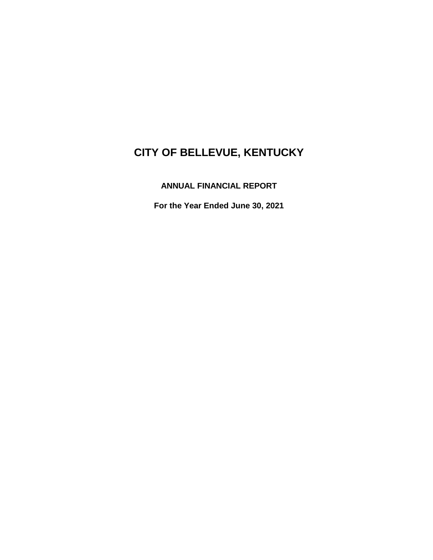# **CITY OF BELLEVUE, KENTUCKY**

**ANNUAL FINANCIAL REPORT**

**For the Year Ended June 30, 2021**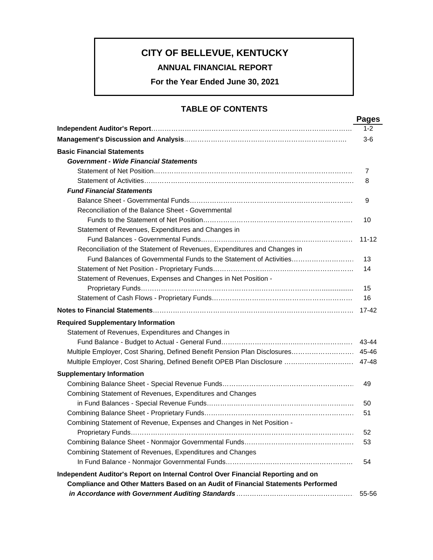# **CITY OF BELLEVUE, KENTUCKY**

**ANNUAL FINANCIAL REPORT**

**For the Year Ended June 30, 2021**

# **TABLE OF CONTENTS**

|                                                                                         | <b>Pages</b> |
|-----------------------------------------------------------------------------------------|--------------|
|                                                                                         | -1-2         |
|                                                                                         | $3-6$        |
| <b>Basic Financial Statements</b>                                                       |              |
| <b>Government - Wide Financial Statements</b>                                           |              |
|                                                                                         |              |
|                                                                                         |              |
| <b>Fund Financial Statements</b>                                                        |              |
|                                                                                         | - 9          |
| Reconciliation of the Balance Sheet - Governmental                                      |              |
|                                                                                         |              |
| Statement of Revenues, Expenditures and Changes in                                      |              |
|                                                                                         |              |
| Reconciliation of the Statement of Revenues, Expenditures and Changes in                |              |
|                                                                                         |              |
|                                                                                         |              |
| Statement of Revenues, Expenses and Changes in Net Position -                           |              |
|                                                                                         |              |
|                                                                                         |              |
|                                                                                         |              |
| <b>Required Supplementary Information</b>                                               |              |
| Statement of Revenues, Expenditures and Changes in                                      |              |
|                                                                                         |              |
| Multiple Employer, Cost Sharing, Defined Benefit Pension Plan Disclosures 45-46         |              |
| Multiple Employer, Cost Sharing, Defined Benefit OPEB Plan Disclosure  47-48            |              |
| <b>Supplementary Information</b>                                                        |              |
|                                                                                         |              |
| Combining Statement of Revenues, Expenditures and Changes                               |              |
|                                                                                         |              |
|                                                                                         |              |
| Combining Statement of Revenue, Expenses and Changes in Net Position -                  |              |
|                                                                                         |              |
|                                                                                         |              |
| Combining Statement of Revenues, Expenditures and Changes                               |              |
|                                                                                         | 54           |
|                                                                                         |              |
| Independent Auditor's Report on Internal Control Over Financial Reporting and on        |              |
| <b>Compliance and Other Matters Based on an Audit of Financial Statements Performed</b> |              |
|                                                                                         |              |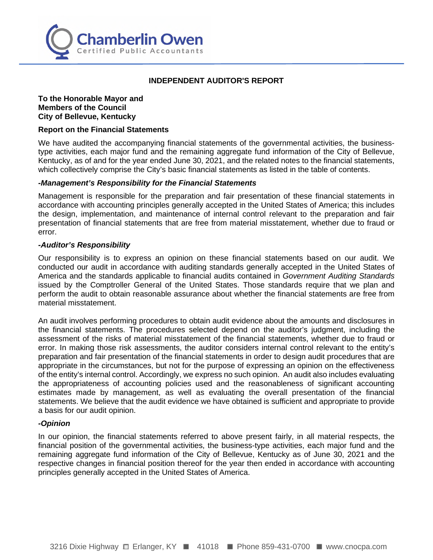

#### **INDEPENDENT AUDITOR'S REPORT**

#### **To the Honorable Mayor and Members of the Council City of Bellevue, Kentucky**

#### **Report on the Financial Statements**

We have audited the accompanying financial statements of the governmental activities, the businesstype activities, each major fund and the remaining aggregate fund information of the City of Bellevue, Kentucky, as of and for the year ended June 30, 2021, and the related notes to the financial statements, which collectively comprise the City's basic financial statements as listed in the table of contents.

#### *-Management's Responsibility for the Financial Statements*

Management is responsible for the preparation and fair presentation of these financial statements in accordance with accounting principles generally accepted in the United States of America; this includes the design, implementation, and maintenance of internal control relevant to the preparation and fair presentation of financial statements that are free from material misstatement, whether due to fraud or error.

#### *-Auditor's Responsibility*

Our responsibility is to express an opinion on these financial statements based on our audit. We conducted our audit in accordance with auditing standards generally accepted in the United States of America and the standards applicable to financial audits contained in *Government Auditing Standards* issued by the Comptroller General of the United States. Those standards require that we plan and perform the audit to obtain reasonable assurance about whether the financial statements are free from material misstatement.

An audit involves performing procedures to obtain audit evidence about the amounts and disclosures in the financial statements. The procedures selected depend on the auditor's judgment, including the assessment of the risks of material misstatement of the financial statements, whether due to fraud or error. In making those risk assessments, the auditor considers internal control relevant to the entity's preparation and fair presentation of the financial statements in order to design audit procedures that are appropriate in the circumstances, but not for the purpose of expressing an opinion on the effectiveness of the entity's internal control. Accordingly, we express no such opinion. An audit also includes evaluating the appropriateness of accounting policies used and the reasonableness of significant accounting estimates made by management, as well as evaluating the overall presentation of the financial statements. We believe that the audit evidence we have obtained is sufficient and appropriate to provide a basis for our audit opinion.

#### *-Opinion*

In our opinion, the financial statements referred to above present fairly, in all material respects, the financial position of the governmental activities, the business-type activities, each major fund and the remaining aggregate fund information of the City of Bellevue, Kentucky as of June 30, 2021 and the respective changes in financial position thereof for the year then ended in accordance with accounting principles generally accepted in the United States of America.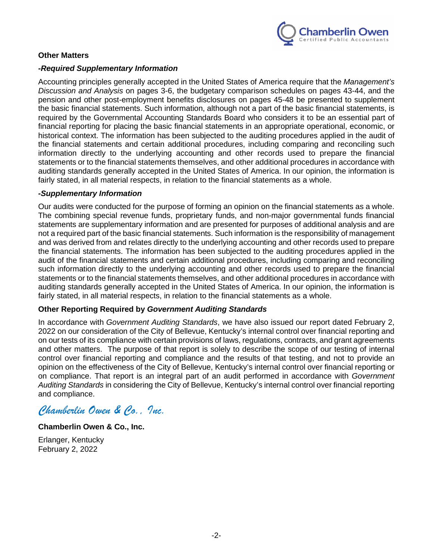

#### **Other Matters**

#### *-Required Supplementary Information*

Accounting principles generally accepted in the United States of America require that the *Management's Discussion and Analysis* on pages 3-6, the budgetary comparison schedules on pages 43-44, and the pension and other post-employment benefits disclosures on pages 45-48 be presented to supplement the basic financial statements. Such information, although not a part of the basic financial statements, is required by the Governmental Accounting Standards Board who considers it to be an essential part of financial reporting for placing the basic financial statements in an appropriate operational, economic, or historical context. The information has been subjected to the auditing procedures applied in the audit of the financial statements and certain additional procedures, including comparing and reconciling such information directly to the underlying accounting and other records used to prepare the financial statements or to the financial statements themselves, and other additional procedures in accordance with auditing standards generally accepted in the United States of America. In our opinion, the information is fairly stated, in all material respects, in relation to the financial statements as a whole.

#### *-Supplementary Information*

Our audits were conducted for the purpose of forming an opinion on the financial statements as a whole. The combining special revenue funds, proprietary funds, and non-major governmental funds financial statements are supplementary information and are presented for purposes of additional analysis and are not a required part of the basic financial statements. Such information is the responsibility of management and was derived from and relates directly to the underlying accounting and other records used to prepare the financial statements. The information has been subjected to the auditing procedures applied in the audit of the financial statements and certain additional procedures, including comparing and reconciling such information directly to the underlying accounting and other records used to prepare the financial statements or to the financial statements themselves, and other additional procedures in accordance with auditing standards generally accepted in the United States of America. In our opinion, the information is fairly stated, in all material respects, in relation to the financial statements as a whole.

#### **Other Reporting Required by** *Government Auditing Standards*

In accordance with *Government Auditing Standards*, we have also issued our report dated February 2, 2022 on our consideration of the City of Bellevue, Kentucky's internal control over financial reporting and on our tests of its compliance with certain provisions of laws, regulations, contracts, and grant agreements and other matters. The purpose of that report is solely to describe the scope of our testing of internal control over financial reporting and compliance and the results of that testing, and not to provide an opinion on the effectiveness of the City of Bellevue, Kentucky's internal control over financial reporting or on compliance. That report is an integral part of an audit performed in accordance with *Government Auditing Standards* in considering the City of Bellevue, Kentucky's internal control over financial reporting and compliance.

*Chamberlin Owen & Co., Inc.* 

### **Chamberlin Owen & Co., Inc.**

Erlanger, Kentucky February 2, 2022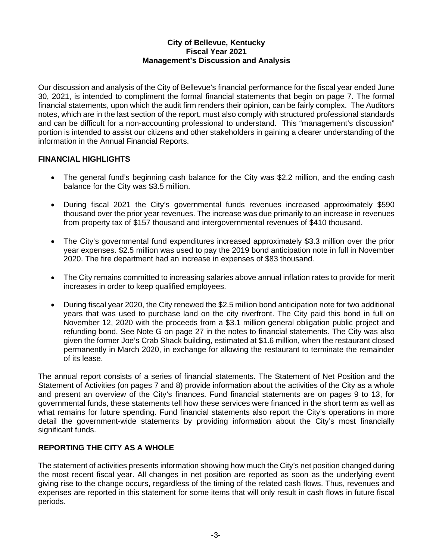### **City of Bellevue, Kentucky Fiscal Year 2021 Management's Discussion and Analysis**

Our discussion and analysis of the City of Bellevue's financial performance for the fiscal year ended June 30, 2021, is intended to compliment the formal financial statements that begin on page 7. The formal financial statements, upon which the audit firm renders their opinion, can be fairly complex. The Auditors notes, which are in the last section of the report, must also comply with structured professional standards and can be difficult for a non-accounting professional to understand. This "management's discussion" portion is intended to assist our citizens and other stakeholders in gaining a clearer understanding of the information in the Annual Financial Reports.

### **FINANCIAL HIGHLIGHTS**

- The general fund's beginning cash balance for the City was \$2.2 million, and the ending cash balance for the City was \$3.5 million.
- During fiscal 2021 the City's governmental funds revenues increased approximately \$590 thousand over the prior year revenues. The increase was due primarily to an increase in revenues from property tax of \$157 thousand and intergovernmental revenues of \$410 thousand.
- The City's governmental fund expenditures increased approximately \$3.3 million over the prior year expenses. \$2.5 million was used to pay the 2019 bond anticipation note in full in November 2020. The fire department had an increase in expenses of \$83 thousand.
- The City remains committed to increasing salaries above annual inflation rates to provide for merit increases in order to keep qualified employees.
- During fiscal year 2020, the City renewed the \$2.5 million bond anticipation note for two additional years that was used to purchase land on the city riverfront. The City paid this bond in full on November 12, 2020 with the proceeds from a \$3.1 million general obligation public project and refunding bond. See Note G on page 27 in the notes to financial statements. The City was also given the former Joe's Crab Shack building, estimated at \$1.6 million, when the restaurant closed permanently in March 2020, in exchange for allowing the restaurant to terminate the remainder of its lease.

The annual report consists of a series of financial statements. The Statement of Net Position and the Statement of Activities (on pages 7 and 8) provide information about the activities of the City as a whole and present an overview of the City's finances. Fund financial statements are on pages 9 to 13, for governmental funds, these statements tell how these services were financed in the short term as well as what remains for future spending. Fund financial statements also report the City's operations in more detail the government-wide statements by providing information about the City's most financially significant funds.

### **REPORTING THE CITY AS A WHOLE**

The statement of activities presents information showing how much the City's net position changed during the most recent fiscal year. All changes in net position are reported as soon as the underlying event giving rise to the change occurs, regardless of the timing of the related cash flows. Thus, revenues and expenses are reported in this statement for some items that will only result in cash flows in future fiscal periods.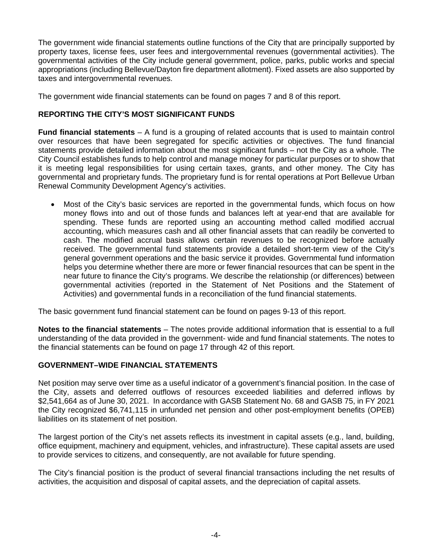The government wide financial statements outline functions of the City that are principally supported by property taxes, license fees, user fees and intergovernmental revenues (governmental activities). The governmental activities of the City include general government, police, parks, public works and special appropriations (including Bellevue/Dayton fire department allotment). Fixed assets are also supported by taxes and intergovernmental revenues.

The government wide financial statements can be found on pages 7 and 8 of this report.

### **REPORTING THE CITY'S MOST SIGNIFICANT FUNDS**

**Fund financial statements** – A fund is a grouping of related accounts that is used to maintain control over resources that have been segregated for specific activities or objectives. The fund financial statements provide detailed information about the most significant funds – not the City as a whole. The City Council establishes funds to help control and manage money for particular purposes or to show that it is meeting legal responsibilities for using certain taxes, grants, and other money. The City has governmental and proprietary funds. The proprietary fund is for rental operations at Port Bellevue Urban Renewal Community Development Agency's activities.

 Most of the City's basic services are reported in the governmental funds, which focus on how money flows into and out of those funds and balances left at year-end that are available for spending. These funds are reported using an accounting method called modified accrual accounting, which measures cash and all other financial assets that can readily be converted to cash. The modified accrual basis allows certain revenues to be recognized before actually received. The governmental fund statements provide a detailed short-term view of the City's general government operations and the basic service it provides. Governmental fund information helps you determine whether there are more or fewer financial resources that can be spent in the near future to finance the City's programs. We describe the relationship (or differences) between governmental activities (reported in the Statement of Net Positions and the Statement of Activities) and governmental funds in a reconciliation of the fund financial statements.

The basic government fund financial statement can be found on pages 9-13 of this report.

**Notes to the financial statements** – The notes provide additional information that is essential to a full understanding of the data provided in the government- wide and fund financial statements. The notes to the financial statements can be found on page 17 through 42 of this report.

### **GOVERNMENT–WIDE FINANCIAL STATEMENTS**

Net position may serve over time as a useful indicator of a government's financial position. In the case of the City, assets and deferred outflows of resources exceeded liabilities and deferred inflows by \$2,541,664 as of June 30, 2021. In accordance with GASB Statement No. 68 and GASB 75, in FY 2021 the City recognized \$6,741,115 in unfunded net pension and other post-employment benefits (OPEB) liabilities on its statement of net position.

The largest portion of the City's net assets reflects its investment in capital assets (e.g., land, building, office equipment, machinery and equipment, vehicles, and infrastructure). These capital assets are used to provide services to citizens, and consequently, are not available for future spending.

The City's financial position is the product of several financial transactions including the net results of activities, the acquisition and disposal of capital assets, and the depreciation of capital assets.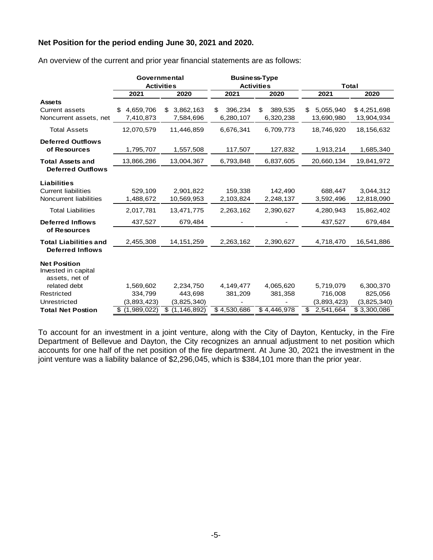#### **Net Position for the period ending June 30, 2021 and 2020.**

|                                            | Governmental     |                     |               | <b>Business-Type</b> |                 |             |
|--------------------------------------------|------------------|---------------------|---------------|----------------------|-----------------|-------------|
|                                            |                  | <b>Activities</b>   |               | <b>Activities</b>    | <b>Total</b>    |             |
|                                            | 2021             | 2020                | 2021          | 2020                 | 2021            | 2020        |
| <b>Assets</b>                              |                  |                     |               |                      |                 |             |
| <b>Current assets</b>                      | 4,659,706<br>\$. | 3,862,163<br>\$     | 396,234<br>\$ | \$<br>389,535        | 5,055,940<br>\$ | \$4,251,698 |
| Noncurrent assets, net                     | 7,410,873        | 7,584,696           | 6,280,107     | 6,320,238            | 13,690,980      | 13,904,934  |
| <b>Total Assets</b>                        | 12,070,579       | 11,446,859          | 6,676,341     | 6,709,773            | 18,746,920      | 18,156,632  |
| <b>Deferred Outflows</b>                   |                  |                     |               |                      |                 |             |
| of Resources                               | 1,795,707        | 1,557,508           | 117,507       | 127,832              | 1,913,214       | 1,685,340   |
| <b>Total Assets and</b>                    | 13,866,286       | 13,004,367          | 6,793,848     | 6,837,605            | 20,660,134      | 19,841,972  |
| <b>Deferred Outflows</b>                   |                  |                     |               |                      |                 |             |
| <b>Liabilities</b>                         |                  |                     |               |                      |                 |             |
| <b>Current liabilities</b>                 | 529.109          | 2.901.822           | 159.338       | 142.490              | 688.447         | 3.044.312   |
| Noncurrent liabilities                     | 1,488,672        | 10,569,953          | 2,103,824     | 2,248,137            | 3,592,496       | 12,818,090  |
| <b>Total Liabilities</b>                   | 2,017,781        | 13,471,775          | 2,263,162     | 2,390,627            | 4,280,943       | 15,862,402  |
| <b>Deferred Inflows</b>                    | 437,527          | 679,484             |               |                      | 437,527         | 679,484     |
| of Resources                               |                  |                     |               |                      |                 |             |
| <b>Total Liabilities and</b>               | 2,455,308        | 14, 151, 259        | 2,263,162     | 2,390,627            | 4,718,470       | 16,541,886  |
| <b>Deferred Inflows</b>                    |                  |                     |               |                      |                 |             |
| <b>Net Position</b><br>Invested in capital |                  |                     |               |                      |                 |             |
| assets, net of                             |                  |                     |               |                      |                 |             |
| related debt                               | 1,569,602        | 2,234,750           | 4,149,477     | 4,065,620            | 5,719,079       | 6,300,370   |
| Restricted                                 | 334,799          | 443,698             | 381,209       | 381,358              | 716,008         | 825,056     |
| Unrestricted                               | (3,893,423)      | (3,825,340)         |               |                      | (3,893,423)     | (3,825,340) |
| <b>Total Net Postion</b>                   | \$(1,989,022)    | $$$ $(1, 146, 892)$ | \$4,530,686   | \$4,446,978          | \$<br>2,541,664 | \$3,300,086 |

An overview of the current and prior year financial statements are as follows:

To account for an investment in a joint venture, along with the City of Dayton, Kentucky, in the Fire Department of Bellevue and Dayton, the City recognizes an annual adjustment to net position which accounts for one half of the net position of the fire department. At June 30, 2021 the investment in the joint venture was a liability balance of \$2,296,045, which is \$384,101 more than the prior year.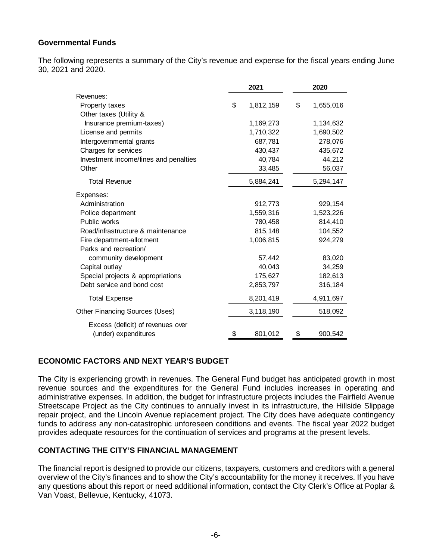### **Governmental Funds**

The following represents a summary of the City's revenue and expense for the fiscal years ending June 30, 2021 and 2020.

|                                       | 2021            | 2020            |
|---------------------------------------|-----------------|-----------------|
| Revenues:                             |                 |                 |
| Property taxes                        | \$<br>1,812,159 | \$<br>1,655,016 |
| Other taxes (Utility &                |                 |                 |
| Insurance premium-taxes)              | 1,169,273       | 1,134,632       |
| License and permits                   | 1,710,322       | 1,690,502       |
| Intergovernmental grants              | 687,781         | 278,076         |
| Charges for services                  | 430,437         | 435,672         |
| Investment income/fines and penalties | 40,784          | 44,212          |
| Other                                 | 33,485          | 56,037          |
| <b>Total Revenue</b>                  | 5,884,241       | 5,294,147       |
| Expenses:                             |                 |                 |
| Administration                        | 912,773         | 929,154         |
| Police department                     | 1,559,316       | 1,523,226       |
| Public works                          | 780,458         | 814,410         |
| Road/infrastructure & maintenance     | 815,148         | 104,552         |
| Fire department-allotment             | 1,006,815       | 924,279         |
| Parks and recreation/                 |                 |                 |
| community development                 | 57,442          | 83,020          |
| Capital outlay                        | 40,043          | 34,259          |
| Special projects & appropriations     | 175,627         | 182,613         |
| Debt service and bond cost            | 2,853,797       | 316,184         |
| <b>Total Expense</b>                  | 8,201,419       | 4,911,697       |
| Other Financing Sources (Uses)        | 3,118,190       | 518,092         |
| Excess (deficit) of revenues over     |                 |                 |
| (under) expenditures                  | \$<br>801,012   | \$<br>900,542   |

## **ECONOMIC FACTORS AND NEXT YEAR'S BUDGET**

The City is experiencing growth in revenues. The General Fund budget has anticipated growth in most revenue sources and the expenditures for the General Fund includes increases in operating and administrative expenses. In addition, the budget for infrastructure projects includes the Fairfield Avenue Streetscape Project as the City continues to annually invest in its infrastructure, the Hillside Slippage repair project, and the Lincoln Avenue replacement project. The City does have adequate contingency funds to address any non-catastrophic unforeseen conditions and events. The fiscal year 2022 budget provides adequate resources for the continuation of services and programs at the present levels.

### **CONTACTING THE CITY'S FINANCIAL MANAGEMENT**

The financial report is designed to provide our citizens, taxpayers, customers and creditors with a general overview of the City's finances and to show the City's accountability for the money it receives. If you have any questions about this report or need additional information, contact the City Clerk's Office at Poplar & Van Voast, Bellevue, Kentucky, 41073.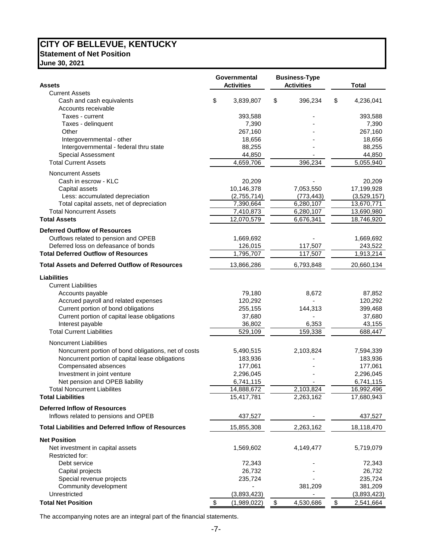# **CITY OF BELLEVUE, KENTUCKY Statement of Net Position**

**June 30, 2021**

| <b>Assets</b>                                                                         | Governmental<br><b>Activities</b> |                         | <b>Business-Type</b><br><b>Activities</b> | Total                    |
|---------------------------------------------------------------------------------------|-----------------------------------|-------------------------|-------------------------------------------|--------------------------|
| <b>Current Assets</b>                                                                 |                                   |                         |                                           |                          |
| Cash and cash equivalents                                                             | \$                                | 3,839,807               | \$<br>396,234                             | \$<br>4,236,041          |
| Accounts receivable<br>Taxes - current                                                |                                   | 393,588                 |                                           | 393,588                  |
| Taxes - delinquent                                                                    |                                   | 7,390                   |                                           | 7,390                    |
| Other                                                                                 |                                   | 267,160                 |                                           | 267,160                  |
| Intergovernmental - other                                                             |                                   | 18,656                  |                                           | 18,656                   |
| Intergovernmental - federal thru state                                                |                                   | 88,255                  |                                           | 88,255                   |
| <b>Special Assessment</b>                                                             |                                   | 44,850                  |                                           | 44,850                   |
| <b>Total Current Assets</b>                                                           |                                   | 4,659,706               | 396,234                                   | 5,055,940                |
| <b>Noncurrent Assets</b>                                                              |                                   |                         |                                           |                          |
| Cash in escrow - KLC                                                                  |                                   | 20,209                  |                                           | 20,209                   |
| Capital assets                                                                        |                                   | 10,146,378              | 7,053,550                                 | 17,199,928               |
| Less: accumulated depreciation                                                        |                                   | (2,755,714)             | (773, 443)                                | (3,529,157)              |
| Total capital assets, net of depreciation                                             |                                   | 7,390,664               | 6,280,107                                 | 13,670,771               |
| <b>Total Noncurrent Assets</b><br><b>Total Assets</b>                                 |                                   | 7,410,873<br>12,070,579 | 6,280,107<br>6,676,341                    | 13,690,980<br>18,746,920 |
|                                                                                       |                                   |                         |                                           |                          |
| <b>Deferred Outflow of Resources</b>                                                  |                                   |                         |                                           |                          |
| Outflows related to pension and OPEB<br>Deferred loss on defeasance of bonds          |                                   | 1,669,692               | 117,507                                   | 1,669,692                |
| <b>Total Deferred Outflow of Resources</b>                                            |                                   | 126,015<br>1,795,707    | 117,507                                   | 243,522<br>1,913,214     |
|                                                                                       |                                   |                         |                                           |                          |
| <b>Total Assets and Deferred Outflow of Resources</b>                                 |                                   | 13,866,286              | 6,793,848                                 | 20,660,134               |
| <b>Liabilities</b>                                                                    |                                   |                         |                                           |                          |
| <b>Current Liabilities</b>                                                            |                                   |                         |                                           |                          |
| Accounts payable                                                                      |                                   | 79,180                  | 8,672                                     | 87,852                   |
| Accrued payroll and related expenses                                                  |                                   | 120,292                 |                                           | 120,292                  |
| Current portion of bond obligations                                                   |                                   | 255,155                 | 144,313                                   | 399,468                  |
| Current portion of capital lease obligations<br>Interest payable                      |                                   | 37,680<br>36,802        | 6,353                                     | 37,680<br>43,155         |
| <b>Total Current Liabilities</b>                                                      |                                   | 529,109                 | 159,338                                   | 688,447                  |
|                                                                                       |                                   |                         |                                           |                          |
| <b>Noncurrent Liabilities</b><br>Noncurrent portion of bond obligations, net of costs |                                   | 5,490,515               | 2,103,824                                 | 7,594,339                |
| Noncurrent portion of capital lease obligations                                       |                                   | 183,936                 |                                           | 183,936                  |
| Compensated absences                                                                  |                                   | 177,061                 |                                           | 177,061                  |
| Investment in joint venture                                                           |                                   | 2,296,045               |                                           | 2,296,045                |
| Net pension and OPEB liability                                                        |                                   | 6,741,115               |                                           | 6,741,115                |
| <b>Total Noncurrent Liabilites</b>                                                    |                                   | 14,888,672              | 2,103,824                                 | 16,992,496               |
| <b>Total Liabilities</b>                                                              |                                   | 15,417,781              | 2,263,162                                 | 17,680,943               |
| <b>Deferred Inflow of Resources</b>                                                   |                                   |                         |                                           |                          |
| Inflows related to pensions and OPEB                                                  |                                   | 437,527                 |                                           | 437,527                  |
| <b>Total Liabilities and Deferred Inflow of Resources</b>                             |                                   | 15,855,308              | 2,263,162                                 | 18,118,470               |
| <b>Net Position</b>                                                                   |                                   |                         |                                           |                          |
| Net investment in capital assets                                                      |                                   | 1,569,602               | 4,149,477                                 | 5,719,079                |
| Restricted for:                                                                       |                                   |                         |                                           |                          |
| Debt service                                                                          |                                   | 72,343                  |                                           | 72,343                   |
| Capital projects                                                                      |                                   | 26,732                  |                                           | 26,732                   |
| Special revenue projects                                                              |                                   | 235,724                 |                                           | 235,724                  |
| Community development                                                                 |                                   |                         | 381,209                                   | 381,209                  |
| Unrestricted                                                                          |                                   | (3,893,423)             |                                           | (3,893,423)              |
| <b>Total Net Position</b>                                                             | \$                                | (1,989,022)             | \$<br>4,530,686                           | \$<br>2,541,664          |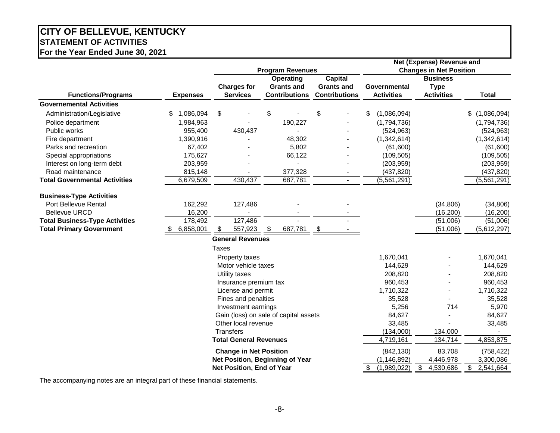# **CITY OF BELLEVUE, KENTUCKY STATEMENT OF ACTIVITIES For the Year Ended June 30, 2021**

|                                       |                  |       |                               |                                       |                         |                      |                     | Net (Expense) Revenue and      |                             |
|---------------------------------------|------------------|-------|-------------------------------|---------------------------------------|-------------------------|----------------------|---------------------|--------------------------------|-----------------------------|
|                                       |                  |       |                               | <b>Program Revenues</b>               |                         |                      |                     | <b>Changes in Net Position</b> |                             |
|                                       |                  |       |                               | Operating                             |                         | <b>Capital</b>       |                     | <b>Business</b>                |                             |
|                                       |                  |       | <b>Charges for</b>            | <b>Grants and</b>                     |                         | <b>Grants and</b>    | <b>Governmental</b> | <b>Type</b>                    |                             |
| <b>Functions/Programs</b>             | <b>Expenses</b>  |       | <b>Services</b>               | <b>Contributions</b>                  |                         | <b>Contributions</b> | <b>Activities</b>   | <b>Activities</b>              | <b>Total</b>                |
| <b>Governemental Activities</b>       |                  |       |                               |                                       |                         |                      |                     |                                |                             |
| Administration/Legislative            | 1,086,094<br>\$  | \$    |                               | \$                                    | \$                      |                      | \$<br>(1,086,094)   |                                | \$<br>(1,086,094)           |
| Police department                     | 1,984,963        |       |                               | 190,227                               |                         |                      | (1,794,736)         |                                | (1,794,736)                 |
| Public works                          | 955,400          |       | 430,437                       |                                       |                         |                      | (524, 963)          |                                | (524, 963)                  |
| Fire department                       | 1,390,916        |       |                               | 48,302                                |                         |                      | (1,342,614)         |                                | (1,342,614)                 |
| Parks and recreation                  | 67,402           |       |                               | 5,802                                 |                         |                      | (61,600)            |                                | (61,600)                    |
| Special appropriations                | 175,627          |       |                               | 66,122                                |                         |                      | (109, 505)          |                                | (109, 505)                  |
| Interest on long-term debt            | 203,959          |       |                               |                                       |                         |                      | (203,959)           |                                | (203, 959)                  |
| Road maintenance                      | 815,148          |       |                               | 377,328                               |                         |                      | (437, 820)          |                                | (437, 820)                  |
| <b>Total Governmental Activities</b>  | 6,679,509        |       | 430,437                       | 687,781                               |                         |                      | (5,561,291)         |                                | (5,561,291)                 |
| <b>Business-Type Activities</b>       |                  |       |                               |                                       |                         |                      |                     |                                |                             |
| Port Bellevue Rental                  | 162,292          |       | 127,486                       |                                       |                         |                      |                     | (34, 806)                      | (34, 806)                   |
| <b>Bellevue URCD</b>                  | 16,200           |       |                               |                                       |                         |                      |                     | (16, 200)                      | (16, 200)                   |
| <b>Total Business-Type Activities</b> | 178,492          |       | 127,486                       |                                       |                         |                      |                     | (51,006)                       | (51,006)                    |
| <b>Total Primary Government</b>       | 6,858,001<br>\$. | \$    | 557,923                       | \$<br>687,781                         | $\overline{\mathbf{3}}$ |                      |                     | (51,006)                       | (5,612,297)                 |
|                                       |                  |       | <b>General Revenues</b>       |                                       |                         |                      |                     |                                |                             |
|                                       |                  | Taxes |                               |                                       |                         |                      |                     |                                |                             |
|                                       |                  |       | Property taxes                |                                       |                         |                      | 1,670,041           |                                | 1,670,041                   |
|                                       |                  |       | Motor vehicle taxes           |                                       |                         |                      | 144,629             |                                | 144,629                     |
|                                       |                  |       | Utility taxes                 |                                       |                         |                      | 208,820             |                                | 208,820                     |
|                                       |                  |       | Insurance premium tax         |                                       |                         |                      | 960,453             |                                | 960,453                     |
|                                       |                  |       | License and permit            |                                       |                         |                      | 1,710,322           |                                | 1,710,322                   |
|                                       |                  |       | Fines and penalties           |                                       |                         |                      | 35,528              |                                | 35,528                      |
|                                       |                  |       | Investment earnings           |                                       |                         |                      | 5,256               | 714                            | 5,970                       |
|                                       |                  |       |                               | Gain (loss) on sale of capital assets |                         |                      | 84,627              |                                | 84,627                      |
|                                       |                  |       | Other local revenue           |                                       |                         |                      | 33,485              |                                | 33,485                      |
|                                       |                  |       | <b>Transfers</b>              |                                       |                         |                      | (134,000)           | 134,000                        |                             |
|                                       |                  |       | <b>Total General Revenues</b> |                                       |                         |                      | 4,719,161           | 134,714                        | 4,853,875                   |
|                                       |                  |       | <b>Change in Net Position</b> |                                       |                         |                      | (842, 130)          | 83,708                         | (758, 422)                  |
|                                       |                  |       |                               | Net Position, Beginning of Year       |                         |                      | (1, 146, 892)       | 4,446,978                      | 3,300,086                   |
|                                       |                  |       | Net Position, End of Year     |                                       |                         |                      | \$<br>(1,989,022)   | \$<br>4,530,686                | $\mathfrak{S}$<br>2,541,664 |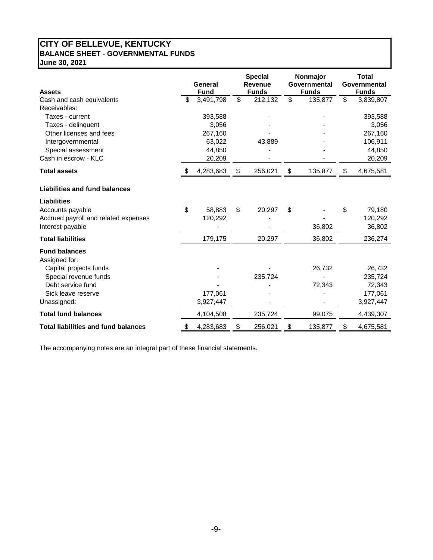### **CITY OF BELLEVUE, KENTUCKY BALANCE SHEET - GOVERNMENTAL FUNDS June 30, 2021**

| <b>Assets</b>                              | General<br><b>Fund</b> |                          | <b>Special</b><br>Revenue<br><b>Funds</b> | Nonmajor<br>Governmental<br><b>Funds</b> | <b>Total</b><br>Governmental<br><b>Funds</b> |
|--------------------------------------------|------------------------|--------------------------|-------------------------------------------|------------------------------------------|----------------------------------------------|
| Cash and cash equivalents                  | \$<br>3,491,798        | $\overline{\mathcal{S}}$ | 212,132                                   | \$<br>135,877                            | \$<br>3,839,807                              |
| Receivables:                               |                        |                          |                                           |                                          |                                              |
| Taxes - current                            | 393,588                |                          |                                           |                                          | 393,588                                      |
| Taxes - delinquent                         | 3,056                  |                          |                                           |                                          | 3,056                                        |
| Other licenses and fees                    | 267,160                |                          |                                           |                                          | 267,160                                      |
| Intergovernmental                          | 63,022                 |                          | 43,889                                    |                                          | 106,911                                      |
| Special assessment                         | 44,850                 |                          |                                           |                                          | 44,850                                       |
| Cash in escrow - KLC                       | 20,209                 |                          |                                           |                                          | 20,209                                       |
| <b>Total assets</b>                        | 4,283,683              | \$                       | 256,021                                   | \$<br>135,877                            | \$<br>4,675,581                              |
| Liabilities and fund balances              |                        |                          |                                           |                                          |                                              |
| Liabilities                                |                        |                          |                                           |                                          |                                              |
| Accounts payable                           | \$<br>58,883           | \$                       | 20,297                                    | \$                                       | \$<br>79,180                                 |
| Accrued payroll and related expenses       | 120,292                |                          |                                           |                                          | 120,292                                      |
| Interest payable                           |                        |                          |                                           | 36,802                                   | 36,802                                       |
| <b>Total liabilities</b>                   | 179,175                |                          | 20,297                                    | 36,802                                   | 236,274                                      |
| <b>Fund balances</b><br>Assigned for:      |                        |                          |                                           |                                          |                                              |
| Capital projects funds                     |                        |                          |                                           | 26,732                                   | 26,732                                       |
| Special revenue funds                      |                        |                          | 235,724                                   |                                          | 235,724                                      |
| Debt service fund                          |                        |                          |                                           | 72,343                                   | 72,343                                       |
| Sick leave reserve                         | 177,061                |                          |                                           |                                          | 177,061                                      |
| Unassigned:                                | 3,927,447              |                          |                                           |                                          | 3,927,447                                    |
| <b>Total fund balances</b>                 | 4,104,508              |                          | 235,724                                   | 99,075                                   | 4,439,307                                    |
| <b>Total liabilities and fund balances</b> | \$<br>4,283,683        | \$                       | 256,021                                   | \$<br>135,877                            | \$<br>4,675,581                              |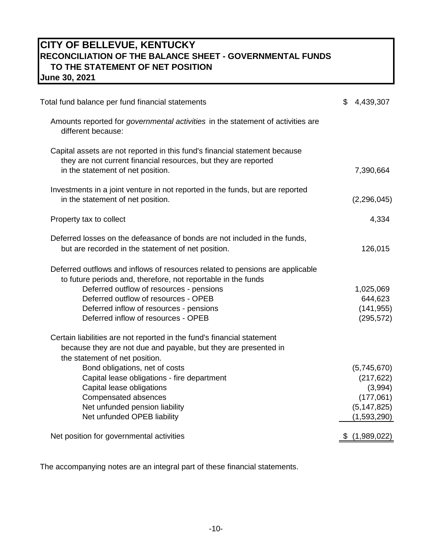# **CITY OF BELLEVUE, KENTUCKY RECONCILIATION OF THE BALANCE SHEET - GOVERNMENTAL FUNDS TO THE STATEMENT OF NET POSITION June 30, 2021**

| Total fund balance per fund financial statements                                                                                                                                                                                                                                                                     | \$<br>4,439,307                                     |
|----------------------------------------------------------------------------------------------------------------------------------------------------------------------------------------------------------------------------------------------------------------------------------------------------------------------|-----------------------------------------------------|
| Amounts reported for governmental activities in the statement of activities are<br>different because:                                                                                                                                                                                                                |                                                     |
| Capital assets are not reported in this fund's financial statement because<br>they are not current financial resources, but they are reported<br>in the statement of net position.                                                                                                                                   | 7,390,664                                           |
| Investments in a joint venture in not reported in the funds, but are reported<br>in the statement of net position.                                                                                                                                                                                                   | (2,296,045)                                         |
| Property tax to collect                                                                                                                                                                                                                                                                                              | 4,334                                               |
| Deferred losses on the defeasance of bonds are not included in the funds,<br>but are recorded in the statement of net position.                                                                                                                                                                                      | 126,015                                             |
| Deferred outflows and inflows of resources related to pensions are applicable<br>to future periods and, therefore, not reportable in the funds<br>Deferred outflow of resources - pensions<br>Deferred outflow of resources - OPEB<br>Deferred inflow of resources - pensions<br>Deferred inflow of resources - OPEB | 1,025,069<br>644,623<br>(141, 955)<br>(295, 572)    |
| Certain liabilities are not reported in the fund's financial statement<br>because they are not due and payable, but they are presented in<br>the statement of net position.<br>Bond obligations, net of costs                                                                                                        | (5,745,670)                                         |
| Capital lease obligations - fire department<br>Capital lease obligations<br>Compensated absences<br>Net unfunded pension liability                                                                                                                                                                                   | (217, 622)<br>(3,994)<br>(177,061)<br>(5, 147, 825) |
| Net unfunded OPEB liability<br>Net position for governmental activities                                                                                                                                                                                                                                              | (1,593,290)<br>\$(1,989,022)                        |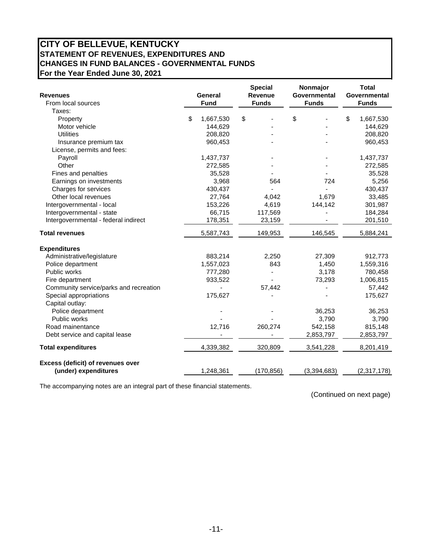## **CITY OF BELLEVUE, KENTUCKY STATEMENT OF REVENUES, EXPENDITURES AND CHANGES IN FUND BALANCES - GOVERNMENTAL FUNDS For the Year Ended June 30, 2021**

| <b>Revenues</b><br>From local sources  | General<br><b>Fund</b> |           | <b>Special</b><br>Revenue<br><b>Funds</b> | Nonmajor<br><b>Governmental</b><br><b>Funds</b> |             | <b>Total</b><br>Governmental<br><b>Funds</b> |
|----------------------------------------|------------------------|-----------|-------------------------------------------|-------------------------------------------------|-------------|----------------------------------------------|
| Taxes:                                 |                        |           |                                           |                                                 |             |                                              |
| Property                               | \$                     | 1,667,530 | \$                                        | \$                                              |             | \$<br>1,667,530                              |
| Motor vehicle                          |                        | 144,629   |                                           |                                                 |             | 144,629                                      |
| <b>Utilities</b>                       |                        | 208,820   |                                           |                                                 |             | 208,820                                      |
| Insurance premium tax                  |                        | 960,453   |                                           |                                                 |             | 960,453                                      |
| License, permits and fees:             |                        |           |                                           |                                                 |             |                                              |
| Payroll                                |                        | 1,437,737 |                                           |                                                 |             | 1,437,737                                    |
| Other                                  |                        | 272,585   |                                           |                                                 |             | 272,585                                      |
| Fines and penalties                    |                        | 35,528    |                                           |                                                 |             | 35,528                                       |
| Earnings on investments                |                        | 3,968     | 564                                       |                                                 | 724         | 5,256                                        |
| Charges for services                   |                        | 430,437   |                                           |                                                 |             | 430,437                                      |
| Other local revenues                   |                        | 27,764    | 4,042                                     |                                                 | 1,679       | 33,485                                       |
| Intergovernmental - local              |                        | 153,226   | 4,619                                     |                                                 | 144,142     | 301,987                                      |
| Intergovernmental - state              |                        | 66,715    | 117,569                                   |                                                 |             | 184,284                                      |
| Intergovernmental - federal indirect   |                        | 178,351   | 23,159                                    |                                                 |             | 201,510                                      |
| <b>Total revenues</b>                  |                        | 5,587,743 | 149,953                                   |                                                 | 146,545     | 5,884,241                                    |
| <b>Expenditures</b>                    |                        |           |                                           |                                                 |             |                                              |
| Administrative/legislature             |                        | 883,214   | 2,250                                     |                                                 | 27,309      | 912,773                                      |
| Police department                      |                        | 1,557,023 | 843                                       |                                                 | 1,450       | 1,559,316                                    |
| Public works                           |                        | 777,280   |                                           |                                                 | 3,178       | 780,458                                      |
| Fire department                        |                        | 933,522   |                                           |                                                 | 73,293      | 1,006,815                                    |
| Community service/parks and recreation |                        |           | 57,442                                    |                                                 |             | 57,442                                       |
| Special appropriations                 |                        | 175,627   |                                           |                                                 |             | 175,627                                      |
| Capital outlay:                        |                        |           |                                           |                                                 |             |                                              |
| Police department                      |                        |           |                                           |                                                 | 36,253      | 36,253                                       |
| Public works                           |                        |           |                                           |                                                 | 3,790       | 3,790                                        |
| Road mainentance                       |                        | 12,716    | 260,274                                   |                                                 | 542,158     | 815,148                                      |
| Debt service and capital lease         |                        |           |                                           |                                                 | 2,853,797   | 2,853,797                                    |
| <b>Total expenditures</b>              |                        | 4,339,382 | 320,809                                   |                                                 | 3,541,228   | 8,201,419                                    |
| Excess (deficit) of revenues over      |                        |           |                                           |                                                 |             |                                              |
| (under) expenditures                   |                        | 1,248,361 | (170, 856)                                |                                                 | (3,394,683) | (2,317,178)                                  |

The accompanying notes are an integral part of these financial statements.

(Continued on next page)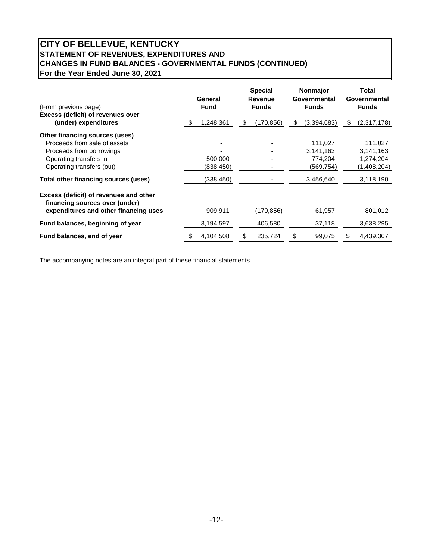## **CITY OF BELLEVUE, KENTUCKY STATEMENT OF REVENUES, EXPENDITURES AND CHANGES IN FUND BALANCES - GOVERNMENTAL FUNDS (CONTINUED) For the Year Ended June 30, 2021**

| (From previous page)                                                     |      | General<br><b>Fund</b> |   | <b>Special</b><br><b>Revenue</b><br><b>Funds</b> | Nonmajor<br>Governmental<br><b>Funds</b> | Total<br>Governmental<br><b>Funds</b> |             |
|--------------------------------------------------------------------------|------|------------------------|---|--------------------------------------------------|------------------------------------------|---------------------------------------|-------------|
| <b>Excess (deficit) of revenues over</b><br>(under) expenditures         | - \$ | 1,248,361              | S | (170, 856)                                       | \$<br>(3,394,683)                        | S.                                    | (2,317,178) |
| Other financing sources (uses)                                           |      |                        |   |                                                  |                                          |                                       |             |
| Proceeds from sale of assets                                             |      |                        |   |                                                  | 111,027                                  |                                       | 111,027     |
| Proceeds from borrowings                                                 |      |                        |   |                                                  | 3,141,163                                |                                       | 3,141,163   |
| Operating transfers in                                                   |      | 500,000                |   |                                                  | 774,204                                  |                                       | 1,274,204   |
| Operating transfers (out)                                                |      | (838,450)              |   |                                                  | (569, 754)                               |                                       | (1,408,204) |
| Total other financing sources (uses)                                     |      | (338,450)              |   |                                                  | 3,456,640                                |                                       | 3,118,190   |
| Excess (deficit) of revenues and other<br>financing sources over (under) |      |                        |   |                                                  |                                          |                                       |             |
| expenditures and other financing uses                                    |      | 909,911                |   | (170, 856)                                       | 61,957                                   |                                       | 801,012     |
| Fund balances, beginning of year                                         |      | 3,194,597              |   | 406.580                                          | 37,118                                   |                                       | 3,638,295   |
| Fund balances, end of year                                               |      | 4,104,508              |   | 235,724                                          | \$<br>99,075                             |                                       | 4,439,307   |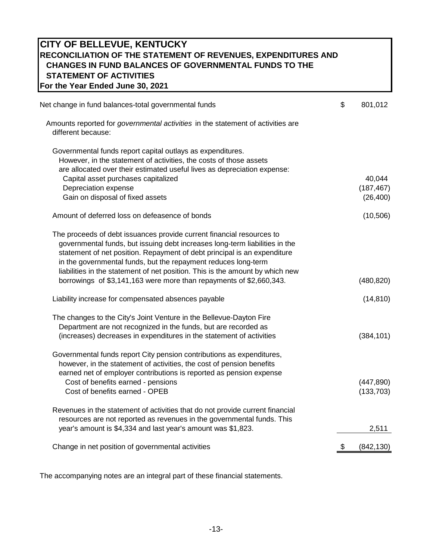# **CITY OF BELLEVUE, KENTUCKY RECONCILIATION OF THE STATEMENT OF REVENUES, EXPENDITURES AND CHANGES IN FUND BALANCES OF GOVERNMENTAL FUNDS TO THE STATEMENT OF ACTIVITIES For the Year Ended June 30, 2021**

| Net change in fund balances-total governmental funds                                                                                                                                                                                                                                                                                                                                                                                                       | \$<br>801,012                     |
|------------------------------------------------------------------------------------------------------------------------------------------------------------------------------------------------------------------------------------------------------------------------------------------------------------------------------------------------------------------------------------------------------------------------------------------------------------|-----------------------------------|
| Amounts reported for governmental activities in the statement of activities are<br>different because:                                                                                                                                                                                                                                                                                                                                                      |                                   |
| Governmental funds report capital outlays as expenditures.<br>However, in the statement of activities, the costs of those assets<br>are allocated over their estimated useful lives as depreciation expense:<br>Capital asset purchases capitalized<br>Depreciation expense<br>Gain on disposal of fixed assets                                                                                                                                            | 40,044<br>(187, 467)<br>(26, 400) |
| Amount of deferred loss on defeasence of bonds                                                                                                                                                                                                                                                                                                                                                                                                             | (10, 506)                         |
| The proceeds of debt issuances provide current financial resources to<br>governmental funds, but issuing debt increases long-term liabilities in the<br>statement of net position. Repayment of debt principal is an expenditure<br>in the governmental funds, but the repayment reduces long-term<br>liabilities in the statement of net position. This is the amount by which new<br>borrowings of \$3,141,163 were more than repayments of \$2,660,343. | (480, 820)                        |
| Liability increase for compensated absences payable                                                                                                                                                                                                                                                                                                                                                                                                        | (14, 810)                         |
| The changes to the City's Joint Venture in the Bellevue-Dayton Fire<br>Department are not recognized in the funds, but are recorded as<br>(increases) decreases in expenditures in the statement of activities                                                                                                                                                                                                                                             | (384, 101)                        |
| Governmental funds report City pension contributions as expenditures,<br>however, in the statement of activities, the cost of pension benefits<br>earned net of employer contributions is reported as pension expense<br>Cost of benefits earned - pensions<br>Cost of benefits earned - OPEB                                                                                                                                                              | (447, 890)<br>(133, 703)          |
| Revenues in the statement of activities that do not provide current financial<br>resources are not reported as revenues in the governmental funds. This<br>year's amount is \$4,334 and last year's amount was \$1,823.                                                                                                                                                                                                                                    | 2,511                             |
| Change in net position of governmental activities                                                                                                                                                                                                                                                                                                                                                                                                          | (842, 130)                        |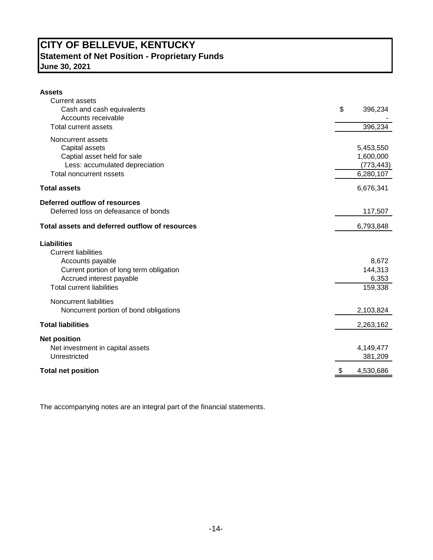# **CITY OF BELLEVUE, KENTUCKY Statement of Net Position - Proprietary Funds June 30, 2021**

#### **Assets**

| <b>Current assets</b><br>Cash and cash equivalents                                                                                                                              | \$<br>396,234                        |
|---------------------------------------------------------------------------------------------------------------------------------------------------------------------------------|--------------------------------------|
| Accounts receivable<br><b>Total current assets</b>                                                                                                                              | 396,234                              |
| Noncurrent assets<br>Capital assets<br>Captial asset held for sale                                                                                                              | 5,453,550<br>1,600,000               |
| Less: accumulated depreciation<br>Total noncurrent nssets                                                                                                                       | (773, 443)<br>6,280,107              |
| <b>Total assets</b>                                                                                                                                                             | 6,676,341                            |
| Deferred outflow of resources<br>Deferred loss on defeasance of bonds                                                                                                           | 117,507                              |
| Total assets and deferred outflow of resources                                                                                                                                  | 6,793,848                            |
| <b>Liabilities</b><br><b>Current liabilities</b><br>Accounts payable<br>Current portion of long term obligation<br>Accrued interest payable<br><b>Total current liabilities</b> | 8,672<br>144,313<br>6,353<br>159,338 |
| Noncurrent liabilities<br>Noncurrent portion of bond obligations                                                                                                                | 2,103,824                            |
| <b>Total liabilities</b>                                                                                                                                                        | 2,263,162                            |
| <b>Net position</b><br>Net investment in capital assets<br>Unrestricted                                                                                                         | 4,149,477<br>381,209                 |
| <b>Total net position</b>                                                                                                                                                       | \$<br>4,530,686                      |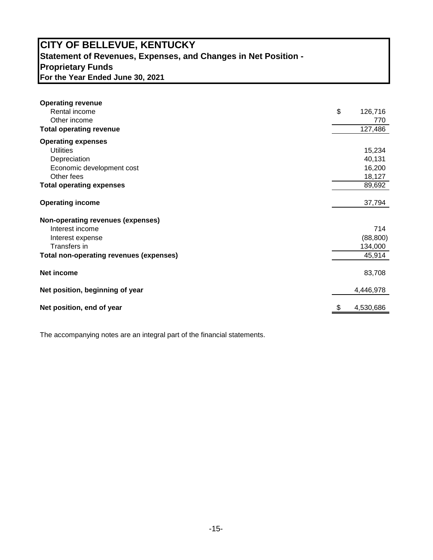# **CITY OF BELLEVUE, KENTUCKY Statement of Revenues, Expenses, and Changes in Net Position - Proprietary Funds**

**For the Year Ended June 30, 2021**

| <b>Operating revenue</b>                |               |
|-----------------------------------------|---------------|
| Rental income                           | \$<br>126,716 |
| Other income                            | 770           |
| <b>Total operating revenue</b>          | 127,486       |
| <b>Operating expenses</b>               |               |
| <b>Utilities</b>                        | 15,234        |
| Depreciation                            | 40,131        |
| Economic development cost               | 16,200        |
| Other fees                              | 18,127        |
| <b>Total operating expenses</b>         | 89,692        |
| <b>Operating income</b>                 | 37,794        |
| Non-operating revenues (expenses)       |               |
| Interest income                         | 714           |
| Interest expense                        | (88, 800)     |
| Transfers in                            | 134,000       |
| Total non-operating revenues (expenses) | 45,914        |
| Net income                              | 83,708        |
| Net position, beginning of year         | 4,446,978     |
| Net position, end of year               | 4,530,686     |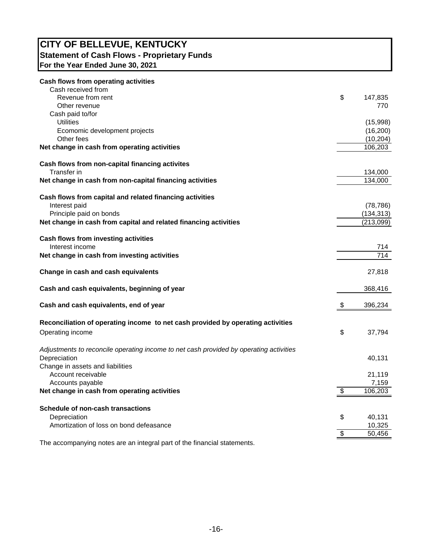# **CITY OF BELLEVUE, KENTUCKY Statement of Cash Flows - Proprietary Funds**

**For the Year Ended June 30, 2021**

| Cash flows from operating activities                                                   |               |
|----------------------------------------------------------------------------------------|---------------|
| Cash received from                                                                     |               |
| Revenue from rent                                                                      | \$<br>147,835 |
| Other revenue                                                                          | 770           |
| Cash paid to/for                                                                       |               |
| <b>Utilities</b>                                                                       | (15,998)      |
| Ecomomic development projects                                                          | (16, 200)     |
| Other fees                                                                             | (10, 204)     |
| Net change in cash from operating activities                                           | 106,203       |
| Cash flows from non-capital financing activites                                        |               |
| Transfer in                                                                            | 134,000       |
| Net change in cash from non-capital financing activities                               | 134,000       |
| Cash flows from capital and related financing activities                               |               |
| Interest paid                                                                          | (78, 786)     |
| Principle paid on bonds                                                                | (134, 313)    |
| Net change in cash from capital and related financing activities                       | (213,099)     |
| Cash flows from investing activities                                                   |               |
| Interest income                                                                        | 714           |
| Net change in cash from investing activities                                           | 714           |
| Change in cash and cash equivalents                                                    | 27,818        |
| Cash and cash equivalents, beginning of year                                           | 368,416       |
| Cash and cash equivalents, end of year                                                 | \$<br>396,234 |
| Reconciliation of operating income to net cash provided by operating activities        |               |
| Operating income                                                                       | \$<br>37,794  |
| Adjustments to reconcile operating income to net cash provided by operating activities |               |
| Depreciation                                                                           | 40,131        |
| Change in assets and liabilities                                                       |               |
| Account receivable                                                                     | 21,119        |
| Accounts payable                                                                       | 7,159         |
| Net change in cash from operating activities                                           | \$<br>106,203 |
|                                                                                        |               |
| Schedule of non-cash transactions                                                      |               |
| Depreciation                                                                           | \$<br>40,131  |
| Amortization of loss on bond defeasance                                                | 10,325        |
|                                                                                        | \$<br>50,456  |
| The accompanying notes are an integral part of the financial statements.               |               |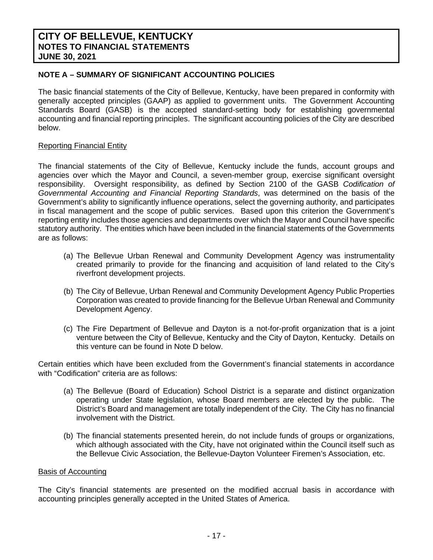### **NOTE A – SUMMARY OF SIGNIFICANT ACCOUNTING POLICIES**

The basic financial statements of the City of Bellevue, Kentucky, have been prepared in conformity with generally accepted principles (GAAP) as applied to government units. The Government Accounting Standards Board (GASB) is the accepted standard-setting body for establishing governmental accounting and financial reporting principles. The significant accounting policies of the City are described below.

#### Reporting Financial Entity

The financial statements of the City of Bellevue, Kentucky include the funds, account groups and agencies over which the Mayor and Council, a seven-member group, exercise significant oversight responsibility. Oversight responsibility, as defined by Section 2100 of the GASB *Codification of Governmental Accounting and Financial Reporting Standards*, was determined on the basis of the Government's ability to significantly influence operations, select the governing authority, and participates in fiscal management and the scope of public services. Based upon this criterion the Government's reporting entity includes those agencies and departments over which the Mayor and Council have specific statutory authority. The entities which have been included in the financial statements of the Governments are as follows:

- (a) The Bellevue Urban Renewal and Community Development Agency was instrumentality created primarily to provide for the financing and acquisition of land related to the City's riverfront development projects.
- (b) The City of Bellevue, Urban Renewal and Community Development Agency Public Properties Corporation was created to provide financing for the Bellevue Urban Renewal and Community Development Agency.
- (c) The Fire Department of Bellevue and Dayton is a not-for-profit organization that is a joint venture between the City of Bellevue, Kentucky and the City of Dayton, Kentucky. Details on this venture can be found in Note D below.

Certain entities which have been excluded from the Government's financial statements in accordance with "Codification" criteria are as follows:

- (a) The Bellevue (Board of Education) School District is a separate and distinct organization operating under State legislation, whose Board members are elected by the public. The District's Board and management are totally independent of the City. The City has no financial involvement with the District.
- (b) The financial statements presented herein, do not include funds of groups or organizations, which although associated with the City, have not originated within the Council itself such as the Bellevue Civic Association, the Bellevue-Dayton Volunteer Firemen's Association, etc.

#### Basis of Accounting

The City's financial statements are presented on the modified accrual basis in accordance with accounting principles generally accepted in the United States of America.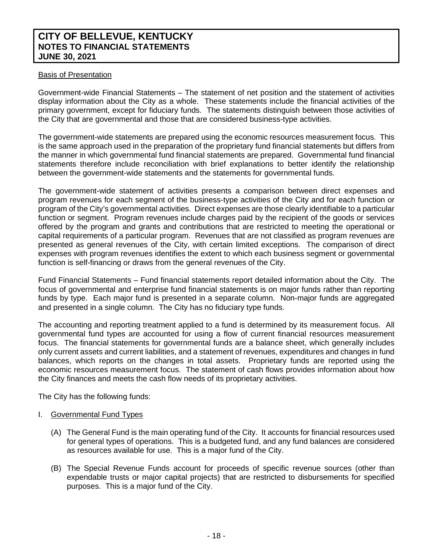#### Basis of Presentation

Government-wide Financial Statements – The statement of net position and the statement of activities display information about the City as a whole. These statements include the financial activities of the primary government, except for fiduciary funds. The statements distinguish between those activities of the City that are governmental and those that are considered business-type activities.

The government-wide statements are prepared using the economic resources measurement focus. This is the same approach used in the preparation of the proprietary fund financial statements but differs from the manner in which governmental fund financial statements are prepared. Governmental fund financial statements therefore include reconciliation with brief explanations to better identify the relationship between the government-wide statements and the statements for governmental funds.

The government-wide statement of activities presents a comparison between direct expenses and program revenues for each segment of the business-type activities of the City and for each function or program of the City's governmental activities. Direct expenses are those clearly identifiable to a particular function or segment. Program revenues include charges paid by the recipient of the goods or services offered by the program and grants and contributions that are restricted to meeting the operational or capital requirements of a particular program. Revenues that are not classified as program revenues are presented as general revenues of the City, with certain limited exceptions. The comparison of direct expenses with program revenues identifies the extent to which each business segment or governmental function is self-financing or draws from the general revenues of the City.

Fund Financial Statements – Fund financial statements report detailed information about the City. The focus of governmental and enterprise fund financial statements is on major funds rather than reporting funds by type. Each major fund is presented in a separate column. Non-major funds are aggregated and presented in a single column. The City has no fiduciary type funds.

The accounting and reporting treatment applied to a fund is determined by its measurement focus. All governmental fund types are accounted for using a flow of current financial resources measurement focus. The financial statements for governmental funds are a balance sheet, which generally includes only current assets and current liabilities, and a statement of revenues, expenditures and changes in fund balances, which reports on the changes in total assets. Proprietary funds are reported using the economic resources measurement focus. The statement of cash flows provides information about how the City finances and meets the cash flow needs of its proprietary activities.

The City has the following funds:

#### I. Governmental Fund Types

- (A) The General Fund is the main operating fund of the City. It accounts for financial resources used for general types of operations. This is a budgeted fund, and any fund balances are considered as resources available for use. This is a major fund of the City.
- (B) The Special Revenue Funds account for proceeds of specific revenue sources (other than expendable trusts or major capital projects) that are restricted to disbursements for specified purposes. This is a major fund of the City.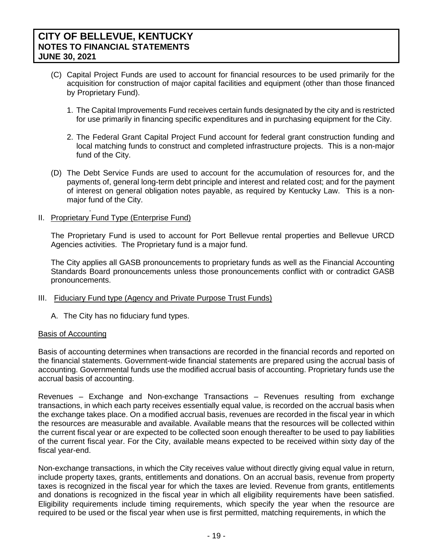- (C) Capital Project Funds are used to account for financial resources to be used primarily for the acquisition for construction of major capital facilities and equipment (other than those financed by Proprietary Fund).
	- 1. The Capital Improvements Fund receives certain funds designated by the city and is restricted for use primarily in financing specific expenditures and in purchasing equipment for the City.
	- 2. The Federal Grant Capital Project Fund account for federal grant construction funding and local matching funds to construct and completed infrastructure projects. This is a non-major fund of the City.
- (D) The Debt Service Funds are used to account for the accumulation of resources for, and the payments of, general long-term debt principle and interest and related cost; and for the payment of interest on general obligation notes payable, as required by Kentucky Law. This is a nonmajor fund of the City.

#### . II. Proprietary Fund Type (Enterprise Fund)

The Proprietary Fund is used to account for Port Bellevue rental properties and Bellevue URCD Agencies activities. The Proprietary fund is a major fund.

The City applies all GASB pronouncements to proprietary funds as well as the Financial Accounting Standards Board pronouncements unless those pronouncements conflict with or contradict GASB pronouncements.

#### III. Fiduciary Fund type (Agency and Private Purpose Trust Funds)

A. The City has no fiduciary fund types.

#### Basis of Accounting

Basis of accounting determines when transactions are recorded in the financial records and reported on the financial statements. Government-wide financial statements are prepared using the accrual basis of accounting. Governmental funds use the modified accrual basis of accounting. Proprietary funds use the accrual basis of accounting.

Revenues – Exchange and Non-exchange Transactions – Revenues resulting from exchange transactions, in which each party receives essentially equal value, is recorded on the accrual basis when the exchange takes place. On a modified accrual basis, revenues are recorded in the fiscal year in which the resources are measurable and available. Available means that the resources will be collected within the current fiscal year or are expected to be collected soon enough thereafter to be used to pay liabilities of the current fiscal year. For the City, available means expected to be received within sixty day of the fiscal year-end.

Non-exchange transactions, in which the City receives value without directly giving equal value in return, include property taxes, grants, entitlements and donations. On an accrual basis, revenue from property taxes is recognized in the fiscal year for which the taxes are levied. Revenue from grants, entitlements and donations is recognized in the fiscal year in which all eligibility requirements have been satisfied. Eligibility requirements include timing requirements, which specify the year when the resource are required to be used or the fiscal year when use is first permitted, matching requirements, in which the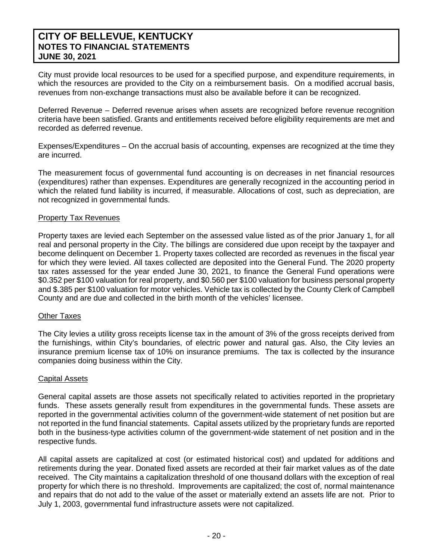City must provide local resources to be used for a specified purpose, and expenditure requirements, in which the resources are provided to the City on a reimbursement basis. On a modified accrual basis, revenues from non-exchange transactions must also be available before it can be recognized.

Deferred Revenue – Deferred revenue arises when assets are recognized before revenue recognition criteria have been satisfied. Grants and entitlements received before eligibility requirements are met and recorded as deferred revenue.

Expenses/Expenditures – On the accrual basis of accounting, expenses are recognized at the time they are incurred.

The measurement focus of governmental fund accounting is on decreases in net financial resources (expenditures) rather than expenses. Expenditures are generally recognized in the accounting period in which the related fund liability is incurred, if measurable. Allocations of cost, such as depreciation, are not recognized in governmental funds.

### Property Tax Revenues

Property taxes are levied each September on the assessed value listed as of the prior January 1, for all real and personal property in the City. The billings are considered due upon receipt by the taxpayer and become delinquent on December 1. Property taxes collected are recorded as revenues in the fiscal year for which they were levied. All taxes collected are deposited into the General Fund. The 2020 property tax rates assessed for the year ended June 30, 2021, to finance the General Fund operations were \$0.352 per \$100 valuation for real property, and \$0.560 per \$100 valuation for business personal property and \$.385 per \$100 valuation for motor vehicles. Vehicle tax is collected by the County Clerk of Campbell County and are due and collected in the birth month of the vehicles' licensee.

#### Other Taxes

The City levies a utility gross receipts license tax in the amount of 3% of the gross receipts derived from the furnishings, within City's boundaries, of electric power and natural gas. Also, the City levies an insurance premium license tax of 10% on insurance premiums. The tax is collected by the insurance companies doing business within the City.

#### Capital Assets

General capital assets are those assets not specifically related to activities reported in the proprietary funds. These assets generally result from expenditures in the governmental funds. These assets are reported in the governmental activities column of the government-wide statement of net position but are not reported in the fund financial statements. Capital assets utilized by the proprietary funds are reported both in the business-type activities column of the government-wide statement of net position and in the respective funds.

All capital assets are capitalized at cost (or estimated historical cost) and updated for additions and retirements during the year. Donated fixed assets are recorded at their fair market values as of the date received. The City maintains a capitalization threshold of one thousand dollars with the exception of real property for which there is no threshold. Improvements are capitalized; the cost of, normal maintenance and repairs that do not add to the value of the asset or materially extend an assets life are not. Prior to July 1, 2003, governmental fund infrastructure assets were not capitalized.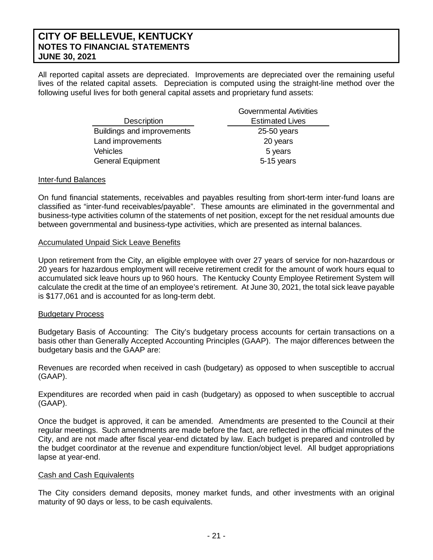All reported capital assets are depreciated. Improvements are depreciated over the remaining useful lives of the related capital assets. Depreciation is computed using the straight-line method over the following useful lives for both general capital assets and proprietary fund assets:

 $\Omega$  successive and  $\Omega$  Avitativities

|                                   | Governmental Avtivities |
|-----------------------------------|-------------------------|
| <b>Description</b>                | <b>Estimated Lives</b>  |
| <b>Buildings and improvements</b> | $25-50$ years           |
| Land improvements                 | 20 years                |
| Vehicles                          | 5 years                 |
| General Equipment                 | 5-15 years              |

#### Inter-fund Balances

On fund financial statements, receivables and payables resulting from short-term inter-fund loans are classified as "inter-fund receivables/payable". These amounts are eliminated in the governmental and business-type activities column of the statements of net position, except for the net residual amounts due between governmental and business-type activities, which are presented as internal balances.

#### Accumulated Unpaid Sick Leave Benefits

Upon retirement from the City, an eligible employee with over 27 years of service for non-hazardous or 20 years for hazardous employment will receive retirement credit for the amount of work hours equal to accumulated sick leave hours up to 960 hours. The Kentucky County Employee Retirement System will calculate the credit at the time of an employee's retirement. At June 30, 2021, the total sick leave payable is \$177,061 and is accounted for as long-term debt.

#### Budgetary Process

Budgetary Basis of Accounting: The City's budgetary process accounts for certain transactions on a basis other than Generally Accepted Accounting Principles (GAAP). The major differences between the budgetary basis and the GAAP are:

Revenues are recorded when received in cash (budgetary) as opposed to when susceptible to accrual (GAAP).

Expenditures are recorded when paid in cash (budgetary) as opposed to when susceptible to accrual (GAAP).

Once the budget is approved, it can be amended. Amendments are presented to the Council at their regular meetings. Such amendments are made before the fact, are reflected in the official minutes of the City, and are not made after fiscal year-end dictated by law. Each budget is prepared and controlled by the budget coordinator at the revenue and expenditure function/object level. All budget appropriations lapse at year-end.

#### Cash and Cash Equivalents

The City considers demand deposits, money market funds, and other investments with an original maturity of 90 days or less, to be cash equivalents.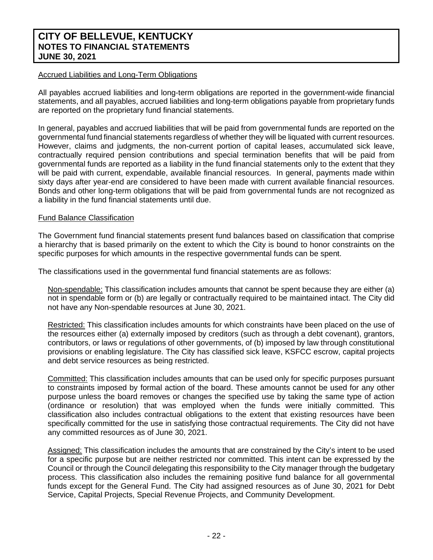#### Accrued Liabilities and Long-Term Obligations

All payables accrued liabilities and long-term obligations are reported in the government-wide financial statements, and all payables, accrued liabilities and long-term obligations payable from proprietary funds are reported on the proprietary fund financial statements.

In general, payables and accrued liabilities that will be paid from governmental funds are reported on the governmental fund financial statements regardless of whether they will be liquated with current resources. However, claims and judgments, the non-current portion of capital leases, accumulated sick leave, contractually required pension contributions and special termination benefits that will be paid from governmental funds are reported as a liability in the fund financial statements only to the extent that they will be paid with current, expendable, available financial resources. In general, payments made within sixty days after year-end are considered to have been made with current available financial resources. Bonds and other long-term obligations that will be paid from governmental funds are not recognized as a liability in the fund financial statements until due.

#### Fund Balance Classification

The Government fund financial statements present fund balances based on classification that comprise a hierarchy that is based primarily on the extent to which the City is bound to honor constraints on the specific purposes for which amounts in the respective governmental funds can be spent.

The classifications used in the governmental fund financial statements are as follows:

Non-spendable: This classification includes amounts that cannot be spent because they are either (a) not in spendable form or (b) are legally or contractually required to be maintained intact. The City did not have any Non-spendable resources at June 30, 2021.

Restricted: This classification includes amounts for which constraints have been placed on the use of the resources either (a) externally imposed by creditors (such as through a debt covenant), grantors, contributors, or laws or regulations of other governments, of (b) imposed by law through constitutional provisions or enabling legislature. The City has classified sick leave, KSFCC escrow, capital projects and debt service resources as being restricted.

Committed: This classification includes amounts that can be used only for specific purposes pursuant to constraints imposed by formal action of the board. These amounts cannot be used for any other purpose unless the board removes or changes the specified use by taking the same type of action (ordinance or resolution) that was employed when the funds were initially committed. This classification also includes contractual obligations to the extent that existing resources have been specifically committed for the use in satisfying those contractual requirements. The City did not have any committed resources as of June 30, 2021.

Assigned: This classification includes the amounts that are constrained by the City's intent to be used for a specific purpose but are neither restricted nor committed. This intent can be expressed by the Council or through the Council delegating this responsibility to the City manager through the budgetary process. This classification also includes the remaining positive fund balance for all governmental funds except for the General Fund. The City had assigned resources as of June 30, 2021 for Debt Service, Capital Projects, Special Revenue Projects, and Community Development.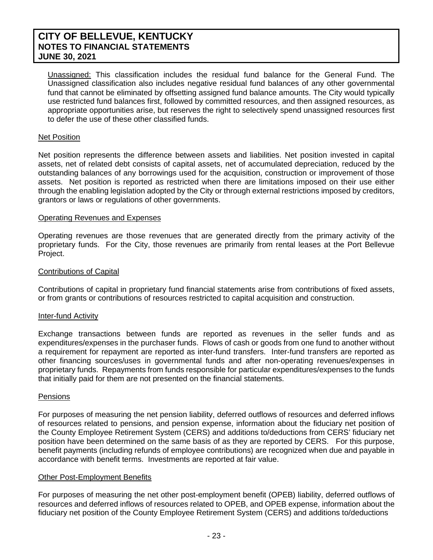Unassigned: This classification includes the residual fund balance for the General Fund. The Unassigned classification also includes negative residual fund balances of any other governmental fund that cannot be eliminated by offsetting assigned fund balance amounts. The City would typically use restricted fund balances first, followed by committed resources, and then assigned resources, as appropriate opportunities arise, but reserves the right to selectively spend unassigned resources first to defer the use of these other classified funds.

#### Net Position

Net position represents the difference between assets and liabilities. Net position invested in capital assets, net of related debt consists of capital assets, net of accumulated depreciation, reduced by the outstanding balances of any borrowings used for the acquisition, construction or improvement of those assets. Net position is reported as restricted when there are limitations imposed on their use either through the enabling legislation adopted by the City or through external restrictions imposed by creditors, grantors or laws or regulations of other governments.

#### Operating Revenues and Expenses

Operating revenues are those revenues that are generated directly from the primary activity of the proprietary funds. For the City, those revenues are primarily from rental leases at the Port Bellevue Project.

#### Contributions of Capital

Contributions of capital in proprietary fund financial statements arise from contributions of fixed assets, or from grants or contributions of resources restricted to capital acquisition and construction.

#### Inter-fund Activity

Exchange transactions between funds are reported as revenues in the seller funds and as expenditures/expenses in the purchaser funds. Flows of cash or goods from one fund to another without a requirement for repayment are reported as inter-fund transfers. Inter-fund transfers are reported as other financing sources/uses in governmental funds and after non-operating revenues/expenses in proprietary funds. Repayments from funds responsible for particular expenditures/expenses to the funds that initially paid for them are not presented on the financial statements.

#### **Pensions**

For purposes of measuring the net pension liability, deferred outflows of resources and deferred inflows of resources related to pensions, and pension expense, information about the fiduciary net position of the County Employee Retirement System (CERS) and additions to/deductions from CERS' fiduciary net position have been determined on the same basis of as they are reported by CERS. For this purpose, benefit payments (including refunds of employee contributions) are recognized when due and payable in accordance with benefit terms. Investments are reported at fair value.

#### Other Post-Employment Benefits

For purposes of measuring the net other post-employment benefit (OPEB) liability, deferred outflows of resources and deferred inflows of resources related to OPEB, and OPEB expense, information about the fiduciary net position of the County Employee Retirement System (CERS) and additions to/deductions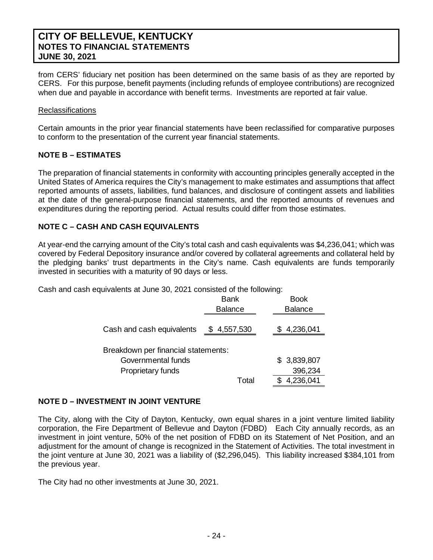from CERS' fiduciary net position has been determined on the same basis of as they are reported by CERS. For this purpose, benefit payments (including refunds of employee contributions) are recognized when due and payable in accordance with benefit terms. Investments are reported at fair value.

#### **Reclassifications**

Certain amounts in the prior year financial statements have been reclassified for comparative purposes to conform to the presentation of the current year financial statements.

### **NOTE B – ESTIMATES**

The preparation of financial statements in conformity with accounting principles generally accepted in the United States of America requires the City's management to make estimates and assumptions that affect reported amounts of assets, liabilities, fund balances, and disclosure of contingent assets and liabilities at the date of the general-purpose financial statements, and the reported amounts of revenues and expenditures during the reporting period. Actual results could differ from those estimates.

### **NOTE C – CASH AND CASH EQUIVALENTS**

At year-end the carrying amount of the City's total cash and cash equivalents was \$4,236,041; which was covered by Federal Depository insurance and/or covered by collateral agreements and collateral held by the pledging banks' trust departments in the City's name. Cash equivalents are funds temporarily invested in securities with a maturity of 90 days or less.

Cash and cash equivalents at June 30, 2021 consisted of the following:

|                                     | <b>Bank</b>    | <b>Book</b>    |
|-------------------------------------|----------------|----------------|
|                                     | <b>Balance</b> | <b>Balance</b> |
| Cash and cash equivalents           | \$4,557,530    | 4,236,041      |
| Breakdown per financial statements: |                |                |
| Governmental funds                  |                | \$3,839,807    |
| Proprietary funds                   |                | 396,234        |
|                                     | Total          | 4,236,041      |

## **NOTE D – INVESTMENT IN JOINT VENTURE**

The City, along with the City of Dayton, Kentucky, own equal shares in a joint venture limited liability corporation, the Fire Department of Bellevue and Dayton (FDBD) Each City annually records, as an investment in joint venture, 50% of the net position of FDBD on its Statement of Net Position, and an adjustment for the amount of change is recognized in the Statement of Activities. The total investment in the joint venture at June 30, 2021 was a liability of (\$2,296,045). This liability increased \$384,101 from the previous year.

The City had no other investments at June 30, 2021.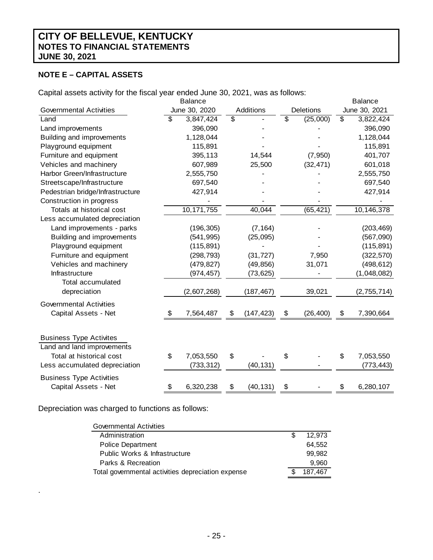## **NOTE E – CAPITAL ASSETS**

Capital assets activity for the fiscal year ended June 30, 2021, was as follows:

|                                  | <b>Balance</b>  |                  |                 | <b>Balance</b>  |
|----------------------------------|-----------------|------------------|-----------------|-----------------|
| <b>Governmental Activities</b>   | June 30, 2020   | Additions        | Deletions       | June 30, 2021   |
| Land                             | \$<br>3,847,424 | \$               | \$<br>(25,000)  | \$<br>3,822,424 |
| Land improvements                | 396,090         |                  |                 | 396,090         |
| Building and improvements        | 1,128,044       |                  |                 | 1,128,044       |
| Playground equipment             | 115,891         |                  |                 | 115,891         |
| Furniture and equipment          | 395,113         | 14,544           | (7,950)         | 401,707         |
| Vehicles and machinery           | 607,989         | 25,500           | (32, 471)       | 601,018         |
| Harbor Green/Infrastructure      | 2,555,750       |                  |                 | 2,555,750       |
| Streetscape/Infrastructure       | 697,540         |                  |                 | 697,540         |
| Pedestrian bridge/Infrastructure | 427,914         |                  |                 | 427,914         |
| Construction in progress         |                 |                  |                 |                 |
| Totals at historical cost        | 10, 171, 755    | 40,044           | (65, 421)       | 10,146,378      |
| Less accumulated depreciation    |                 |                  |                 |                 |
| Land improvements - parks        | (196, 305)      | (7, 164)         |                 | (203, 469)      |
| Building and improvements        | (541, 995)      | (25,095)         |                 | (567,090)       |
| Playground equipment             | (115, 891)      |                  |                 | (115, 891)      |
| Furniture and equipment          | (298, 793)      | (31, 727)        | 7,950           | (322, 570)      |
| Vehicles and machinery           | (479, 827)      | (49, 856)        | 31,071          | (498, 612)      |
| Infrastructure                   | (974, 457)      | (73, 625)        |                 | (1,048,082)     |
| <b>Total accumulated</b>         |                 |                  |                 |                 |
| depreciation                     | (2,607,268)     | (187, 467)       | 39,021          | (2,755,714)     |
| <b>Governmental Activities</b>   |                 |                  |                 |                 |
| Capital Assets - Net             | \$<br>7,564,487 | \$<br>(147, 423) | \$<br>(26, 400) | \$<br>7,390,664 |
|                                  |                 |                  |                 |                 |
| <b>Business Type Activites</b>   |                 |                  |                 |                 |
| Land and land improvements       |                 |                  |                 |                 |
| Total at historical cost         | \$<br>7,053,550 | \$               | \$              | \$<br>7,053,550 |
| Less accumulated depreciation    | (733, 312)      | (40, 131)        |                 | (773, 443)      |
| <b>Business Type Activities</b>  |                 |                  |                 |                 |
| Capital Assets - Net             | \$<br>6,320,238 | \$<br>(40, 131)  | \$              | \$<br>6,280,107 |

Depreciation was charged to functions as follows:

.

| <b>Governmental Activities</b>                     |         |
|----------------------------------------------------|---------|
| Administration                                     | 12.973  |
| <b>Police Department</b>                           | 64.552  |
| Public Works & Infrastructure                      | 99,982  |
| Parks & Recreation                                 | 9.960   |
| Total governmental activities depreciation expense | 187,467 |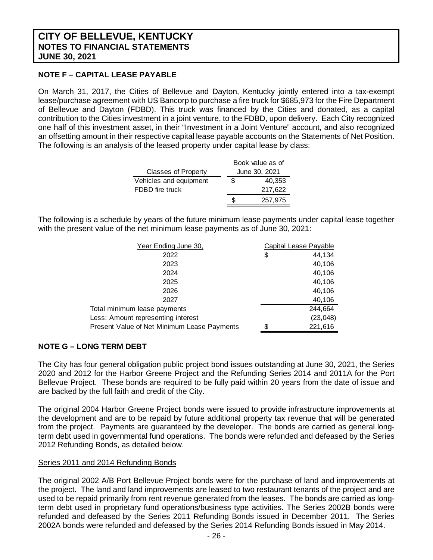### **NOTE F – CAPITAL LEASE PAYABLE**

On March 31, 2017, the Cities of Bellevue and Dayton, Kentucky jointly entered into a tax-exempt lease/purchase agreement with US Bancorp to purchase a fire truck for \$685,973 for the Fire Department of Bellevue and Dayton (FDBD). This truck was financed by the Cities and donated, as a capital contribution to the Cities investment in a joint venture, to the FDBD, upon delivery. Each City recognized one half of this investment asset, in their "Investment in a Joint Venture" account, and also recognized an offsetting amount in their respective capital lease payable accounts on the Statements of Net Position. The following is an analysis of the leased property under capital lease by class:

|                        |     | Book value as of |
|------------------------|-----|------------------|
| Classes of Property    |     | June 30, 2021    |
| Vehicles and equipment | \$  | 40.353           |
| FDBD fire truck        |     | 217,622          |
|                        | SS. | 257.975          |

The following is a schedule by years of the future minimum lease payments under capital lease together with the present value of the net minimum lease payments as of June 30, 2021:

| Year Ending June 30,                        | Capital Lease Payable |
|---------------------------------------------|-----------------------|
| 2022                                        | \$<br>44,134          |
| 2023                                        | 40,106                |
| 2024                                        | 40,106                |
| 2025                                        | 40,106                |
| 2026                                        | 40,106                |
| 2027                                        | 40,106                |
| Total minimum lease payments                | 244,664               |
| Less: Amount representing interest          | (23, 048)             |
| Present Value of Net Minimum Lease Payments | \$<br>221,616         |

## **NOTE G – LONG TERM DEBT**

The City has four general obligation public project bond issues outstanding at June 30, 2021, the Series 2020 and 2012 for the Harbor Greene Project and the Refunding Series 2014 and 2011A for the Port Bellevue Project. These bonds are required to be fully paid within 20 years from the date of issue and are backed by the full faith and credit of the City.

The original 2004 Harbor Greene Project bonds were issued to provide infrastructure improvements at the development and are to be repaid by future additional property tax revenue that will be generated from the project. Payments are guaranteed by the developer. The bonds are carried as general longterm debt used in governmental fund operations. The bonds were refunded and defeased by the Series 2012 Refunding Bonds, as detailed below.

#### Series 2011 and 2014 Refunding Bonds

The original 2002 A/B Port Bellevue Project bonds were for the purchase of land and improvements at the project. The land and land improvements are leased to two restaurant tenants of the project and are used to be repaid primarily from rent revenue generated from the leases. The bonds are carried as longterm debt used in proprietary fund operations/business type activities. The Series 2002B bonds were refunded and defeased by the Series 2011 Refunding Bonds issued in December 2011. The Series 2002A bonds were refunded and defeased by the Series 2014 Refunding Bonds issued in May 2014.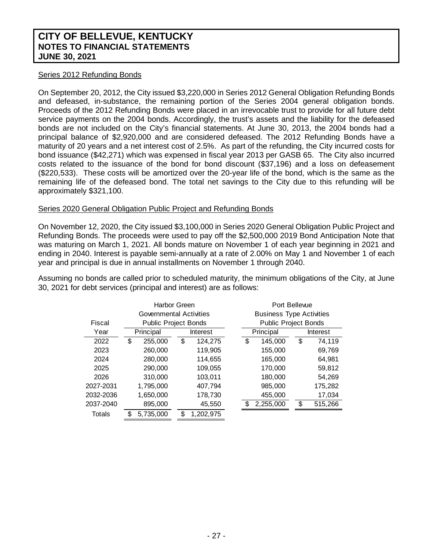#### Series 2012 Refunding Bonds

On September 20, 2012, the City issued \$3,220,000 in Series 2012 General Obligation Refunding Bonds and defeased, in-substance, the remaining portion of the Series 2004 general obligation bonds. Proceeds of the 2012 Refunding Bonds were placed in an irrevocable trust to provide for all future debt service payments on the 2004 bonds. Accordingly, the trust's assets and the liability for the defeased bonds are not included on the City's financial statements. At June 30, 2013, the 2004 bonds had a principal balance of \$2,920,000 and are considered defeased. The 2012 Refunding Bonds have a maturity of 20 years and a net interest cost of 2.5%. As part of the refunding, the City incurred costs for bond issuance (\$42,271) which was expensed in fiscal year 2013 per GASB 65. The City also incurred costs related to the issuance of the bond for bond discount (\$37,196) and a loss on defeasement (\$220,533). These costs will be amortized over the 20-year life of the bond, which is the same as the remaining life of the defeased bond. The total net savings to the City due to this refunding will be approximately \$321,100.

#### Series 2020 General Obligation Public Project and Refunding Bonds

On November 12, 2020, the City issued \$3,100,000 in Series 2020 General Obligation Public Project and Refunding Bonds. The proceeds were used to pay off the \$2,500,000 2019 Bond Anticipation Note that was maturing on March 1, 2021. All bonds mature on November 1 of each year beginning in 2021 and ending in 2040. Interest is payable semi-annually at a rate of 2.00% on May 1 and November 1 of each year and principal is due in annual installments on November 1 through 2040.

Assuming no bonds are called prior to scheduled maturity, the minimum obligations of the City, at June 30, 2021 for debt services (principal and interest) are as follows:

|           | Harbor Green<br>Governmental Activities |                             |    |           | Port Bellevue<br><b>Business Type Activities</b> |                             |     |          |
|-----------|-----------------------------------------|-----------------------------|----|-----------|--------------------------------------------------|-----------------------------|-----|----------|
| Fiscal    |                                         | <b>Public Project Bonds</b> |    |           |                                                  | <b>Public Project Bonds</b> |     |          |
| Year      |                                         | Principal                   |    | Interest  |                                                  | Principal                   |     | Interest |
| 2022      | S                                       | 255,000                     | \$ | 124,275   | S                                                | 145,000                     | S   | 74,119   |
| 2023      |                                         | 260,000                     |    | 119,905   |                                                  | 155,000                     |     | 69,769   |
| 2024      |                                         | 280,000                     |    | 114,655   |                                                  | 165,000                     |     | 64,981   |
| 2025      |                                         | 290,000                     |    | 109,055   |                                                  | 170,000                     |     | 59,812   |
| 2026      |                                         | 310,000                     |    | 103,011   |                                                  | 180,000                     |     | 54.269   |
| 2027-2031 |                                         | 1,795,000                   |    | 407,794   |                                                  | 985,000                     |     | 175,282  |
| 2032-2036 |                                         | 1,650,000                   |    | 178,730   |                                                  | 455,000                     |     | 17,034   |
| 2037-2040 |                                         | 895,000                     |    | 45,550    |                                                  | 2,255,000                   | \$. | 515,266  |
| Totals    | \$                                      | 5.735.000                   | \$ | 1,202,975 |                                                  |                             |     |          |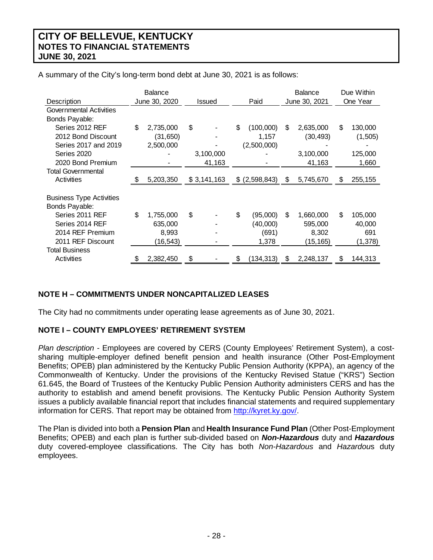| Description                     |     | <b>Balance</b><br>June 30, 2020 | Issued      | Paid            | <b>Balance</b><br>June 30, 2021 | Due Within<br>One Year |
|---------------------------------|-----|---------------------------------|-------------|-----------------|---------------------------------|------------------------|
| Governmental Activities         |     |                                 |             |                 |                                 |                        |
| Bonds Payable:                  |     |                                 |             |                 |                                 |                        |
| Series 2012 REF                 | \$. | 2,735,000                       | \$          | \$<br>(100,000) | \$<br>2,635,000                 | \$<br>130,000          |
| 2012 Bond Discount              |     | (31, 650)                       |             | 1,157           | (30, 493)                       | (1,505)                |
| Series 2017 and 2019            |     | 2,500,000                       |             | (2,500,000)     |                                 |                        |
| Series 2020                     |     |                                 | 3,100,000   |                 | 3,100,000                       | 125,000                |
| 2020 Bond Premium               |     |                                 | 41,163      | ۰               | 41,163                          | 1,660                  |
| <b>Total Governmental</b>       |     |                                 |             |                 |                                 |                        |
| Activities                      | S.  | 5,203,350                       | \$3,141,163 | (2,598,843)     | \$<br>5,745,670                 | \$<br>255,155          |
|                                 |     |                                 |             |                 |                                 |                        |
| <b>Business Type Activities</b> |     |                                 |             |                 |                                 |                        |
| Bonds Payable:                  |     |                                 |             |                 |                                 |                        |
| Series 2011 REF                 | \$  | 1,755,000                       | \$          | \$<br>(95,000)  | \$<br>1,660,000                 | \$<br>105,000          |
| Series 2014 REF                 |     | 635,000                         |             | (40,000)        | 595,000                         | 40,000                 |
| 2014 REF Premium                |     | 8,993                           |             | (691)           | 8,302                           | 691                    |
| 2011 REF Discount               |     | (16, 543)                       |             | 1,378           | (15,165)                        | (1,378)                |
| <b>Total Business</b>           |     |                                 |             |                 |                                 |                        |
| Activities                      | \$  | 2,382,450                       | \$          | (134,313)       | \$<br>2,248,137                 | \$<br>144,313          |

A summary of the City's long-term bond debt at June 30, 2021 is as follows:

## **NOTE H – COMMITMENTS UNDER NONCAPITALIZED LEASES**

The City had no commitments under operating lease agreements as of June 30, 2021.

## **NOTE I – COUNTY EMPLOYEES' RETIREMENT SYSTEM**

*Plan description -* Employees are covered by CERS (County Employees' Retirement System), a costsharing multiple-employer defined benefit pension and health insurance (Other Post-Employment Benefits; OPEB) plan administered by the Kentucky Public Pension Authority (KPPA), an agency of the Commonwealth of Kentucky. Under the provisions of the Kentucky Revised Statue ("KRS") Section 61.645, the Board of Trustees of the Kentucky Public Pension Authority administers CERS and has the authority to establish and amend benefit provisions. The Kentucky Public Pension Authority System issues a publicly available financial report that includes financial statements and required supplementary information for CERS. That report may be obtained from http://kyret.ky.gov/.

The Plan is divided into both a **Pension Plan** and **Health Insurance Fund Plan** (Other Post-Employment Benefits; OPEB) and each plan is further sub-divided based on *Non-Hazardous* duty and *Hazardous* duty covered-employee classifications. The City has both *Non-Hazardous* and *Hazardou*s duty employees.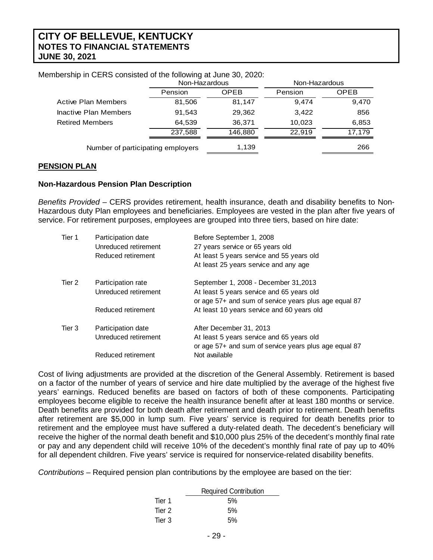|                                   | Non-Hazardous |             | Non-Hazardous |             |
|-----------------------------------|---------------|-------------|---------------|-------------|
|                                   | Pension       | <b>OPEB</b> | Pension       | <b>OPEB</b> |
| <b>Active Plan Members</b>        | 81,506        | 81,147      | 9,474         | 9,470       |
| Inactive Plan Members             | 91,543        | 29,362      | 3,422         | 856         |
| <b>Retired Members</b>            | 64,539        | 36,371      | 10,023        | 6,853       |
|                                   | 237,588       | 146,880     | 22.919        | 17.179      |
| Number of participating employers |               | 1,139       |               | 266         |

Membership in CERS consisted of the following at June 30, 2020:

#### **PENSION PLAN**

#### **Non-Hazardous Pension Plan Description**

*Benefits Provided –* CERS provides retirement, health insurance, death and disability benefits to Non-Hazardous duty Plan employees and beneficiaries. Employees are vested in the plan after five years of service. For retirement purposes, employees are grouped into three tiers, based on hire date:

| Tier 1 | Participation date   | Before September 1, 2008                                               |
|--------|----------------------|------------------------------------------------------------------------|
|        | Unreduced retirement | 27 years service or 65 years old                                       |
|        | Reduced retirement   | At least 5 years service and 55 years old                              |
|        |                      | At least 25 years service and any age                                  |
| Tier 2 | Participation rate   | September 1, 2008 - December 31,2013                                   |
|        | Unreduced retirement | At least 5 years service and 65 years old                              |
|        |                      | or age 57+ and sum of service years plus age equal 87                  |
|        | Reduced retirement   | At least 10 years service and 60 years old                             |
| Tier 3 | Participation date   | After December 31, 2013                                                |
|        | Unreduced retirement | At least 5 years service and 65 years old                              |
|        | Reduced retirement   | or age 57+ and sum of service years plus age equal 87<br>Not available |
|        |                      |                                                                        |

Cost of living adjustments are provided at the discretion of the General Assembly. Retirement is based on a factor of the number of years of service and hire date multiplied by the average of the highest five years' earnings. Reduced benefits are based on factors of both of these components. Participating employees become eligible to receive the health insurance benefit after at least 180 months or service. Death benefits are provided for both death after retirement and death prior to retirement. Death benefits after retirement are \$5,000 in lump sum. Five years' service is required for death benefits prior to retirement and the employee must have suffered a duty-related death. The decedent's beneficiary will receive the higher of the normal death benefit and \$10,000 plus 25% of the decedent's monthly final rate or pay and any dependent child will receive 10% of the decedent's monthly final rate of pay up to 40% for all dependent children. Five years' service is required for nonservice-related disability benefits.

*Contributions –* Required pension plan contributions by the employee are based on the tier:

|        | <b>Required Contribution</b> |
|--------|------------------------------|
| Tier 1 | 5%                           |
| Tier 2 | 5%                           |
| Tier 3 | 5%                           |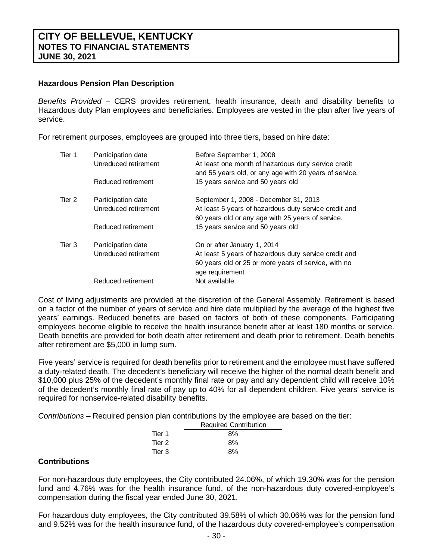#### **Hazardous Pension Plan Description**

*Benefits Provided –* CERS provides retirement, health insurance, death and disability benefits to Hazardous duty Plan employees and beneficiaries. Employees are vested in the plan after five years of service.

For retirement purposes, employees are grouped into three tiers, based on hire date:

| Tier 1 | Participation date   | Before September 1, 2008                                                                                      |
|--------|----------------------|---------------------------------------------------------------------------------------------------------------|
|        | Unreduced retirement | At least one month of hazardous duty service credit<br>and 55 years old, or any age with 20 years of service. |
|        | Reduced retirement   | 15 years service and 50 years old                                                                             |
| Tier 2 | Participation date   | September 1, 2008 - December 31, 2013                                                                         |
|        | Unreduced retirement | At least 5 years of hazardous duty service credit and                                                         |
|        |                      | 60 years old or any age with 25 years of service.                                                             |
|        | Reduced retirement   | 15 years service and 50 years old                                                                             |
| Tier 3 | Participation date   | On or after January 1, 2014                                                                                   |
|        | Unreduced retirement | At least 5 years of hazardous duty service credit and                                                         |
|        |                      | 60 years old or 25 or more years of service, with no<br>age requirement                                       |
|        | Reduced retirement   | Not available                                                                                                 |
|        |                      |                                                                                                               |

Cost of living adjustments are provided at the discretion of the General Assembly. Retirement is based on a factor of the number of years of service and hire date multiplied by the average of the highest five years' earnings. Reduced benefits are based on factors of both of these components. Participating employees become eligible to receive the health insurance benefit after at least 180 months or service. Death benefits are provided for both death after retirement and death prior to retirement. Death benefits after retirement are \$5,000 in lump sum.

Five years' service is required for death benefits prior to retirement and the employee must have suffered a duty-related death. The decedent's beneficiary will receive the higher of the normal death benefit and \$10,000 plus 25% of the decedent's monthly final rate or pay and any dependent child will receive 10% of the decedent's monthly final rate of pay up to 40% for all dependent children. Five years' service is required for nonservice-related disability benefits.

*Contributions –* Required pension plan contributions by the employee are based on the tier:

|        | <b>Required Contribution</b> |
|--------|------------------------------|
| Tier 1 | 8%                           |
| Tier 2 | 8%                           |
| Tier 3 | 8%                           |

### **Contributions**

For non-hazardous duty employees, the City contributed 24.06%, of which 19.30% was for the pension fund and 4.76% was for the health insurance fund, of the non-hazardous duty covered-employee's compensation during the fiscal year ended June 30, 2021.

For hazardous duty employees, the City contributed 39.58% of which 30.06% was for the pension fund and 9.52% was for the health insurance fund, of the hazardous duty covered-employee's compensation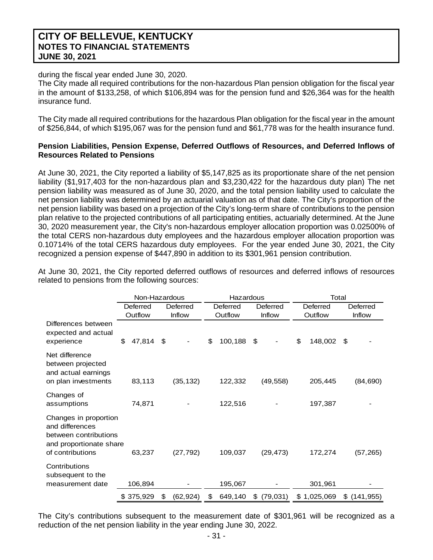during the fiscal year ended June 30, 2020.

The City made all required contributions for the non-hazardous Plan pension obligation for the fiscal year in the amount of \$133,258, of which \$106,894 was for the pension fund and \$26,364 was for the health insurance fund.

The City made all required contributions for the hazardous Plan obligation for the fiscal year in the amount of \$256,844, of which \$195,067 was for the pension fund and \$61,778 was for the health insurance fund.

### **Pension Liabilities, Pension Expense, Deferred Outflows of Resources, and Deferred Inflows of Resources Related to Pensions**

At June 30, 2021, the City reported a liability of \$5,147,825 as its proportionate share of the net pension liability (\$1,917,403 for the non-hazardous plan and \$3,230,422 for the hazardous duty plan) The net pension liability was measured as of June 30, 2020, and the total pension liability used to calculate the net pension liability was determined by an actuarial valuation as of that date. The City's proportion of the net pension liability was based on a projection of the City's long-term share of contributions to the pension plan relative to the projected contributions of all participating entities, actuarially determined. At the June 30, 2020 measurement year, the City's non-hazardous employer allocation proportion was 0.02500% of the total CERS non-hazardous duty employees and the hazardous employer allocation proportion was 0.10714% of the total CERS hazardous duty employees. For the year ended June 30, 2021, the City recognized a pension expense of \$447,890 in addition to its \$301,961 pension contribution.

At June 30, 2021, the City reported deferred outflows of resources and deferred inflows of resources related to pensions from the following sources:

|                                                                                                                  | Non-Hazardous        |     | Hazardous     |    |          | Total |               |    |             |    |             |
|------------------------------------------------------------------------------------------------------------------|----------------------|-----|---------------|----|----------|-------|---------------|----|-------------|----|-------------|
|                                                                                                                  | Deferred<br>Deferred |     | Deferred      |    | Deferred |       | Deferred      |    | Deferred    |    |             |
|                                                                                                                  | Outflow              |     | <b>Inflow</b> |    | Outflow  |       | <b>Inflow</b> |    | Outflow     |    | Inflow      |
| Differences between<br>expected and actual<br>experience                                                         | \$<br>47,814         | -\$ |               | \$ | 100,188  | \$    |               | \$ | 148,002     | \$ |             |
| Net difference<br>between projected<br>and actual earnings<br>on plan investments                                | 83,113               |     | (35, 132)     |    | 122,332  |       | (49, 558)     |    | 205,445     |    | (84, 690)   |
| Changes of<br>assumptions                                                                                        | 74,871               |     |               |    | 122,516  |       |               |    | 197,387     |    |             |
| Changes in proportion<br>and differences<br>between contributions<br>and proportionate share<br>of contributions | 63,237               |     | (27, 792)     |    | 109,037  |       | (29, 473)     |    | 172,274     |    | (57, 265)   |
| Contributions<br>subsequent to the<br>measurement date                                                           | 106,894              |     |               |    | 195,067  |       |               |    | 301,961     |    |             |
|                                                                                                                  | \$375,929            | \$  | (62, 924)     | \$ | 649,140  | \$    | (79, 031)     |    | \$1,025,069 |    | \$(141.955) |

The City's contributions subsequent to the measurement date of \$301,961 will be recognized as a reduction of the net pension liability in the year ending June 30, 2022.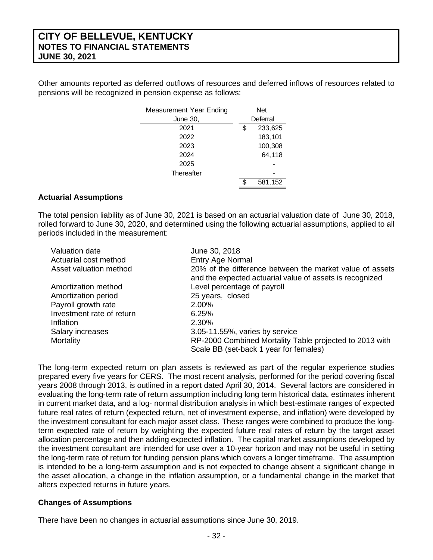Other amounts reported as deferred outflows of resources and deferred inflows of resources related to pensions will be recognized in pension expense as follows:

| <b>Measurement Year Ending</b> |   | Net      |  |  |  |  |
|--------------------------------|---|----------|--|--|--|--|
| June 30,                       |   | Deferral |  |  |  |  |
| 2021                           | S | 233,625  |  |  |  |  |
| 2022                           |   | 183,101  |  |  |  |  |
| 2023                           |   | 100,308  |  |  |  |  |
| 2024                           |   | 64,118   |  |  |  |  |
| 2025                           |   |          |  |  |  |  |
| Thereafter                     |   |          |  |  |  |  |
|                                |   | 581,152  |  |  |  |  |

#### **Actuarial Assumptions**

The total pension liability as of June 30, 2021 is based on an actuarial valuation date of June 30, 2018, rolled forward to June 30, 2020, and determined using the following actuarial assumptions, applied to all periods included in the measurement:

| Valuation date            | June 30, 2018                                                                                                        |
|---------------------------|----------------------------------------------------------------------------------------------------------------------|
| Actuarial cost method     | Entry Age Normal                                                                                                     |
| Asset valuation method    | 20% of the difference between the market value of assets<br>and the expected actuarial value of assets is recognized |
| Amortization method       | Level percentage of payroll                                                                                          |
| Amortization period       | 25 years, closed                                                                                                     |
| Payroll growth rate       | 2.00%                                                                                                                |
| Investment rate of return | 6.25%                                                                                                                |
| Inflation                 | 2.30%                                                                                                                |
| Salary increases          | 3.05-11.55%, varies by service                                                                                       |
| Mortality                 | RP-2000 Combined Mortality Table projected to 2013 with                                                              |
|                           | Scale BB (set-back 1 year for females)                                                                               |

The long-term expected return on plan assets is reviewed as part of the regular experience studies prepared every five years for CERS. The most recent analysis, performed for the period covering fiscal years 2008 through 2013, is outlined in a report dated April 30, 2014. Several factors are considered in evaluating the long-term rate of return assumption including long term historical data, estimates inherent in current market data, and a log- normal distribution analysis in which best-estimate ranges of expected future real rates of return (expected return, net of investment expense, and inflation) were developed by the investment consultant for each major asset class. These ranges were combined to produce the long‐ term expected rate of return by weighting the expected future real rates of return by the target asset allocation percentage and then adding expected inflation. The capital market assumptions developed by the investment consultant are intended for use over a 10‐year horizon and may not be useful in setting the long‐term rate of return for funding pension plans which covers a longer timeframe. The assumption is intended to be a long-term assumption and is not expected to change absent a significant change in the asset allocation, a change in the inflation assumption, or a fundamental change in the market that alters expected returns in future years.

### **Changes of Assumptions**

There have been no changes in actuarial assumptions since June 30, 2019.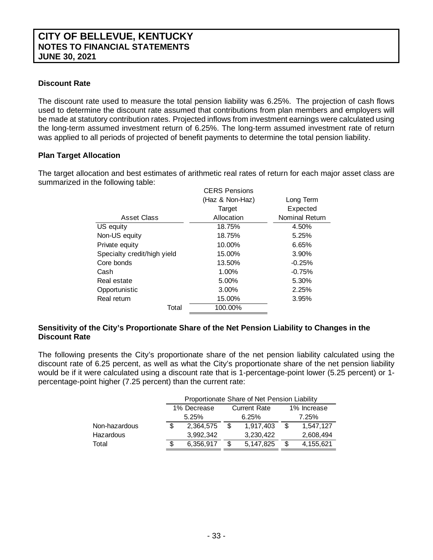### **Discount Rate**

The discount rate used to measure the total pension liability was 6.25%. The projection of cash flows used to determine the discount rate assumed that contributions from plan members and employers will be made at statutory contribution rates. Projected inflows from investment earnings were calculated using the long‐term assumed investment return of 6.25%. The long‐term assumed investment rate of return was applied to all periods of projected of benefit payments to determine the total pension liability.

### **Plan Target Allocation**

The target allocation and best estimates of arithmetic real rates of return for each major asset class are summarized in the following table:

|                             | <b>CERS Pensions</b> |                |
|-----------------------------|----------------------|----------------|
|                             | (Haz & Non-Haz)      | Long Term      |
|                             | Target               | Expected       |
| Asset Class                 | Allocation           | Nominal Return |
| US equity                   | 18.75%               | 4.50%          |
| Non-US equity               | 18.75%               | 5.25%          |
| Private equity              | 10.00%               | 6.65%          |
| Specialty credit/high yield | 15.00%               | 3.90%          |
| Core bonds                  | 13.50%               | $-0.25%$       |
| Cash                        | 1.00%                | $-0.75%$       |
| Real estate                 | 5.00%                | 5.30%          |
| Opportunistic               | 3.00%                | 2.25%          |
| Real return                 | 15.00%               | 3.95%          |
| Total                       | 100.00%              |                |

#### **Sensitivity of the City's Proportionate Share of the Net Pension Liability to Changes in the Discount Rate**

The following presents the City's proportionate share of the net pension liability calculated using the discount rate of 6.25 percent, as well as what the City's proportionate share of the net pension liability would be if it were calculated using a discount rate that is 1-percentage-point lower (5.25 percent) or 1 percentage-point higher (7.25 percent) than the current rate:

| Proportionate Share of Net Pension Liability |           |  |             |       |             |  |
|----------------------------------------------|-----------|--|-------------|-------|-------------|--|
| 1% Decrease<br><b>Current Rate</b>           |           |  |             |       |             |  |
|                                              | 5.25%     |  | 6.25%       | 7.25% |             |  |
|                                              | 2,364,575 |  | 1,917,403   |       | 1,547,127   |  |
|                                              | 3,992,342 |  | 3,230,422   |       | 2,608,494   |  |
|                                              | 6,356,917 |  | 5, 147, 825 |       | 4,155,621   |  |
|                                              |           |  |             |       | 1% Increase |  |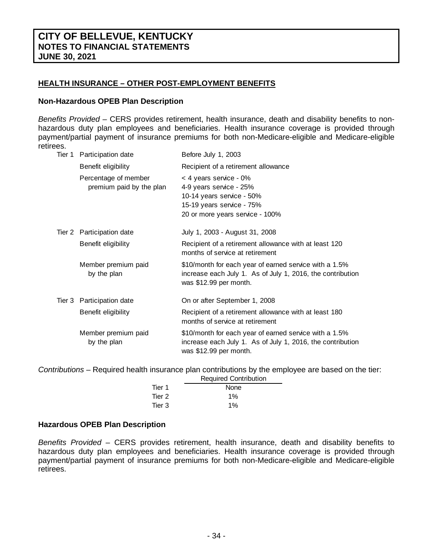### **HEALTH INSURANCE – OTHER POST-EMPLOYMENT BENEFITS**

#### **Non-Hazardous OPEB Plan Description**

*Benefits Provided* – CERS provides retirement, health insurance, death and disability benefits to nonhazardous duty plan employees and beneficiaries. Health insurance coverage is provided through payment/partial payment of insurance premiums for both non-Medicare-eligible and Medicare-eligible retirees.

| Tier 1 | Participation date                               | Before July 1, 2003                                                                                                                              |  |  |  |  |  |  |
|--------|--------------------------------------------------|--------------------------------------------------------------------------------------------------------------------------------------------------|--|--|--|--|--|--|
|        | Benefit eligibility                              | Recipient of a retirement allowance                                                                                                              |  |  |  |  |  |  |
|        | Percentage of member<br>premium paid by the plan | $<$ 4 years service - 0%<br>4-9 years service - 25%<br>10-14 years service - 50%<br>15-19 years service - 75%<br>20 or more years service - 100% |  |  |  |  |  |  |
|        | Tier 2 Participation date                        | July 1, 2003 - August 31, 2008                                                                                                                   |  |  |  |  |  |  |
|        | Benefit eligibility                              | Recipient of a retirement allowance with at least 120<br>months of service at retirement                                                         |  |  |  |  |  |  |
|        | Member premium paid<br>by the plan               | \$10/month for each year of earned service with a 1.5%<br>increase each July 1. As of July 1, 2016, the contribution<br>was \$12.99 per month.   |  |  |  |  |  |  |
|        | Tier 3 Participation date                        | On or after September 1, 2008                                                                                                                    |  |  |  |  |  |  |
|        | Benefit eligibility                              | Recipient of a retirement allowance with at least 180<br>months of service at retirement                                                         |  |  |  |  |  |  |
|        | Member premium paid<br>by the plan               | \$10/month for each year of earned service with a 1.5%<br>increase each July 1. As of July 1, 2016, the contribution<br>was \$12.99 per month.   |  |  |  |  |  |  |

*Contributions –* Required health insurance plan contributions by the employee are based on the tier: Required Contribution

|        | $1.099$ $1.004$ $0.011$ |
|--------|-------------------------|
| Tier 1 | None                    |
| Tier 2 | $1\%$                   |
| Tier 3 | $1\%$                   |

#### **Hazardous OPEB Plan Description**

*Benefits Provided* – CERS provides retirement, health insurance, death and disability benefits to hazardous duty plan employees and beneficiaries. Health insurance coverage is provided through payment/partial payment of insurance premiums for both non-Medicare-eligible and Medicare-eligible retirees.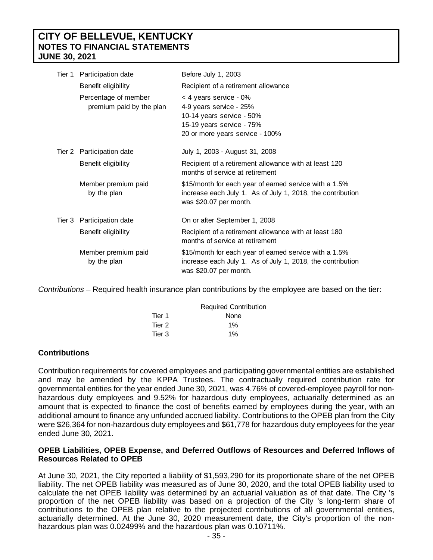| Tier 1 | Participation date                               | Before July 1, 2003                                                                                                                              |  |  |  |  |  |  |
|--------|--------------------------------------------------|--------------------------------------------------------------------------------------------------------------------------------------------------|--|--|--|--|--|--|
|        | Benefit eligibility                              | Recipient of a retirement allowance                                                                                                              |  |  |  |  |  |  |
|        | Percentage of member<br>premium paid by the plan | $<$ 4 years service - 0%<br>4-9 years service - 25%<br>10-14 years service - 50%<br>15-19 years service - 75%<br>20 or more years service - 100% |  |  |  |  |  |  |
|        | Tier 2 Participation date                        | July 1, 2003 - August 31, 2008                                                                                                                   |  |  |  |  |  |  |
|        | Benefit eligibility                              | Recipient of a retirement allowance with at least 120<br>months of service at retirement                                                         |  |  |  |  |  |  |
|        | Member premium paid<br>by the plan               | \$15/month for each year of earned service with a 1.5%<br>increase each July 1. As of July 1, 2018, the contribution<br>was \$20.07 per month.   |  |  |  |  |  |  |
|        | Tier 3 Participation date                        | On or after September 1, 2008                                                                                                                    |  |  |  |  |  |  |
|        | Benefit eligibility                              | Recipient of a retirement allowance with at least 180<br>months of service at retirement                                                         |  |  |  |  |  |  |
|        | Member premium paid<br>by the plan               | \$15/month for each year of earned service with a 1.5%<br>increase each July 1. As of July 1, 2018, the contribution<br>was \$20.07 per month.   |  |  |  |  |  |  |

*Contributions –* Required health insurance plan contributions by the employee are based on the tier:

|        | <b>Required Contribution</b> |
|--------|------------------------------|
| Tier 1 | None                         |
| Tier 2 | $1\%$                        |
| Tier 3 | $1\%$                        |

### **Contributions**

Contribution requirements for covered employees and participating governmental entities are established and may be amended by the KPPA Trustees. The contractually required contribution rate for governmental entities for the year ended June 30, 2021, was 4.76% of covered-employee payroll for nonhazardous duty employees and 9.52% for hazardous duty employees, actuarially determined as an amount that is expected to finance the cost of benefits earned by employees during the year, with an additional amount to finance any unfunded accrued liability. Contributions to the OPEB plan from the City were \$26,364 for non-hazardous duty employees and \$61,778 for hazardous duty employees for the year ended June 30, 2021.

#### **OPEB Liabilities, OPEB Expense, and Deferred Outflows of Resources and Deferred Inflows of Resources Related to OPEB**

At June 30, 2021, the City reported a liability of \$1,593,290 for its proportionate share of the net OPEB liability. The net OPEB liability was measured as of June 30, 2020, and the total OPEB liability used to calculate the net OPEB liability was determined by an actuarial valuation as of that date. The City 's proportion of the net OPEB liability was based on a projection of the City 's long-term share of contributions to the OPEB plan relative to the projected contributions of all governmental entities, actuarially determined. At the June 30, 2020 measurement date, the City's proportion of the nonhazardous plan was 0.02499% and the hazardous plan was 0.10711%.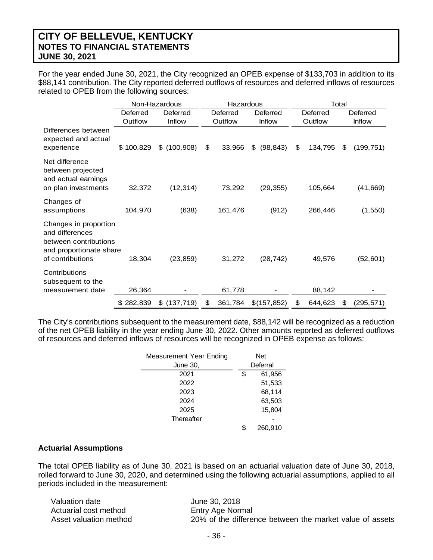For the year ended June 30, 2021, the City recognized an OPEB expense of \$133,703 in addition to its \$88,141 contribution. The City reported deferred outflows of resources and deferred inflows of resources related to OPEB from the following sources:

|                                                                                                                  | Non-Hazardous |                  |    | Hazardous |                 |          | Total   |    |               |  |
|------------------------------------------------------------------------------------------------------------------|---------------|------------------|----|-----------|-----------------|----------|---------|----|---------------|--|
|                                                                                                                  | Deferred      | Deferred         |    | Deferred  | Deferred        | Deferred |         |    | Deferred      |  |
|                                                                                                                  | Outflow       | Inflow           |    | Outflow   | Inflow          |          | Outflow |    | <b>Inflow</b> |  |
| Differences between<br>expected and actual<br>experience                                                         | \$100,829     | \$(100,908)      | \$ | 33,966    | (98, 843)<br>\$ | \$       | 134,795 | \$ | (199, 751)    |  |
| Net difference<br>between projected<br>and actual earnings<br>on plan investments                                | 32,372        | (12, 314)        |    | 73,292    | (29, 355)       |          | 105,664 |    | (41, 669)     |  |
| Changes of<br>assumptions                                                                                        | 104,970       | (638)            |    | 161,476   | (912)           |          | 266,446 |    | (1, 550)      |  |
| Changes in proportion<br>and differences<br>between contributions<br>and proportionate share<br>of contributions | 18,304        | (23, 859)        |    | 31,272    | (28, 742)       |          | 49,576  |    | (52, 601)     |  |
| Contributions<br>subsequent to the<br>measurement date                                                           | 26,364        |                  |    | 61,778    |                 |          | 88,142  |    |               |  |
|                                                                                                                  | \$282,839     | \$<br>(137, 719) | \$ | 361,784   | \$(157,852)     | \$       | 644,623 | \$ | (295, 571)    |  |

The City's contributions subsequent to the measurement date, \$88,142 will be recognized as a reduction of the net OPEB liability in the year ending June 30, 2022. Other amounts reported as deferred outflows of resources and deferred inflows of resources will be recognized in OPEB expense as follows:

| <b>Measurement Year Ending</b> | Net |          |  |  |  |  |  |  |
|--------------------------------|-----|----------|--|--|--|--|--|--|
| June 30,                       |     | Deferral |  |  |  |  |  |  |
| 2021                           | S.  | 61,956   |  |  |  |  |  |  |
| 2022                           |     | 51,533   |  |  |  |  |  |  |
| 2023                           |     | 68,114   |  |  |  |  |  |  |
| 2024                           |     | 63,503   |  |  |  |  |  |  |
| 2025                           |     | 15,804   |  |  |  |  |  |  |
| Thereafter                     |     |          |  |  |  |  |  |  |
|                                |     | 260,910  |  |  |  |  |  |  |

### **Actuarial Assumptions**

The total OPEB liability as of June 30, 2021 is based on an actuarial valuation date of June 30, 2018, rolled forward to June 30, 2020, and determined using the following actuarial assumptions, applied to all periods included in the measurement:

Valuation date June 30, 2018 Actuarial cost method Entry Age Normal Asset valuation method 20% of the difference between the market value of assets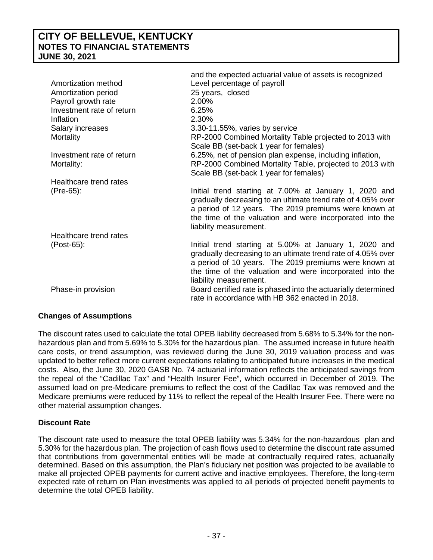|                           | and the expected actuarial value of assets is recognized                                                                                                                                                                                                              |
|---------------------------|-----------------------------------------------------------------------------------------------------------------------------------------------------------------------------------------------------------------------------------------------------------------------|
| Amortization method       | Level percentage of payroll                                                                                                                                                                                                                                           |
| Amortization period       | 25 years, closed                                                                                                                                                                                                                                                      |
| Payroll growth rate       | 2.00%                                                                                                                                                                                                                                                                 |
| Investment rate of return | 6.25%                                                                                                                                                                                                                                                                 |
| <b>Inflation</b>          | 2.30%                                                                                                                                                                                                                                                                 |
| Salary increases          | 3.30-11.55%, varies by service                                                                                                                                                                                                                                        |
| Mortality                 | RP-2000 Combined Mortality Table projected to 2013 with                                                                                                                                                                                                               |
|                           | Scale BB (set-back 1 year for females)                                                                                                                                                                                                                                |
| Investment rate of return | 6.25%, net of pension plan expense, including inflation,                                                                                                                                                                                                              |
| Mortality:                | RP-2000 Combined Mortality Table, projected to 2013 with                                                                                                                                                                                                              |
|                           | Scale BB (set-back 1 year for females)                                                                                                                                                                                                                                |
| Healthcare trend rates    |                                                                                                                                                                                                                                                                       |
| (Pre-65):                 | Initial trend starting at 7.00% at January 1, 2020 and<br>gradually decreasing to an ultimate trend rate of 4.05% over<br>a period of 12 years. The 2019 premiums were known at<br>the time of the valuation and were incorporated into the<br>liability measurement. |
| Healthcare trend rates    |                                                                                                                                                                                                                                                                       |
| (Post-65):                | Initial trend starting at 5.00% at January 1, 2020 and<br>gradually decreasing to an ultimate trend rate of 4.05% over<br>a period of 10 years. The 2019 premiums were known at<br>the time of the valuation and were incorporated into the<br>liability measurement. |
| Phase-in provision        | Board certified rate is phased into the actuarially determined<br>rate in accordance with HB 362 enacted in 2018.                                                                                                                                                     |

### **Changes of Assumptions**

The discount rates used to calculate the total OPEB liability decreased from 5.68% to 5.34% for the nonhazardous plan and from 5.69% to 5.30% for the hazardous plan. The assumed increase in future health care costs, or trend assumption, was reviewed during the June 30, 2019 valuation process and was updated to better reflect more current expectations relating to anticipated future increases in the medical costs. Also, the June 30, 2020 GASB No. 74 actuarial information reflects the anticipated savings from the repeal of the "Cadillac Tax" and "Health Insurer Fee", which occurred in December of 2019. The assumed load on pre-Medicare premiums to reflect the cost of the Cadillac Tax was removed and the Medicare premiums were reduced by 11% to reflect the repeal of the Health Insurer Fee. There were no other material assumption changes.

### **Discount Rate**

The discount rate used to measure the total OPEB liability was 5.34% for the non-hazardous plan and 5.30% for the hazardous plan. The projection of cash flows used to determine the discount rate assumed that contributions from governmental entities will be made at contractually required rates, actuarially determined. Based on this assumption, the Plan's fiduciary net position was projected to be available to make all projected OPEB payments for current active and inactive employees. Therefore, the long-term expected rate of return on Plan investments was applied to all periods of projected benefit payments to determine the total OPEB liability.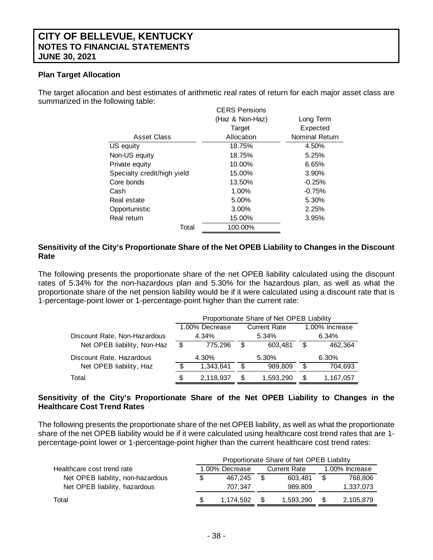#### **Plan Target Allocation**

The target allocation and best estimates of arithmetic real rates of return for each major asset class are summarized in the following table:

|                             | <b>CERS Pensions</b> |                |
|-----------------------------|----------------------|----------------|
|                             | (Haz & Non-Haz)      | Long Term      |
|                             | Target               | Expected       |
| Asset Class                 | Allocation           | Nominal Return |
| US equity                   | 18.75%               | 4.50%          |
| Non-US equity               | 18.75%               | 5.25%          |
| Private equity              | 10.00%               | 6.65%          |
| Specialty credit/high yield | 15.00%               | 3.90%          |
| Core bonds                  | 13.50%               | $-0.25%$       |
| Cash                        | 1.00%                | $-0.75%$       |
| Real estate                 | 5.00%                | 5.30%          |
| Opportunistic               | 3.00%                | 2.25%          |
| Real return                 | 15.00%               | 3.95%          |
| Total                       | 100.00%              |                |

#### **Sensitivity of the City's Proportionate Share of the Net OPEB Liability to Changes in the Discount Rate**

The following presents the proportionate share of the net OPEB liability calculated using the discount rates of 5.34% for the non-hazardous plan and 5.30% for the hazardous plan, as well as what the proportionate share of the net pension liability would be if it were calculated using a discount rate that is 1-percentage-point lower or 1-percentage-point higher than the current rate:

|                              | Proportionate Share of Net OPEB Liability |                |   |                |       |           |  |  |  |  |  |  |
|------------------------------|-------------------------------------------|----------------|---|----------------|-------|-----------|--|--|--|--|--|--|
|                              |                                           | 1.00% Decrease |   | 1.00% Increase |       |           |  |  |  |  |  |  |
| Discount Rate, Non-Hazardous |                                           | 4.34%          |   | 5.34%          | 6.34% |           |  |  |  |  |  |  |
| Net OPEB liability, Non-Haz  | S                                         | 775.296        | S | 603.481        | S     | 462.364   |  |  |  |  |  |  |
| Discount Rate, Hazardous     |                                           | 4.30%          |   | 5.30%          |       | 6.30%     |  |  |  |  |  |  |
| Net OPEB liability, Haz      |                                           | 1,343,641      | S | 989,809        | S     | 704,693   |  |  |  |  |  |  |
| Total                        | S                                         | 2,118,937      | S | 1,593,290      | \$    | 1,167,057 |  |  |  |  |  |  |

#### **Sensitivity of the City's Proportionate Share of the Net OPEB Liability to Changes in the Healthcare Cost Trend Rates**

The following presents the proportionate share of the net OPEB liability, as well as what the proportionate share of the net OPEB liability would be if it were calculated using healthcare cost trend rates that are 1 percentage-point lower or 1-percentage-point higher than the current healthcare cost trend rates:

|                                   |    |                | Proportionate Share of Net OPEB Liability |                |           |  |
|-----------------------------------|----|----------------|-------------------------------------------|----------------|-----------|--|
| Healthcare cost trend rate        |    | 1.00% Decrease | <b>Current Rate</b>                       | 1.00% Increase |           |  |
| Net OPEB liability, non-hazardous | £. | 467.245        | 603.481                                   |                | 768.806   |  |
| Net OPEB liability, hazardous     |    | 707.347        | 989,809                                   |                | 1,337,073 |  |
| Total                             |    | 1.174.592      | 1,593,290                                 |                | 2,105,879 |  |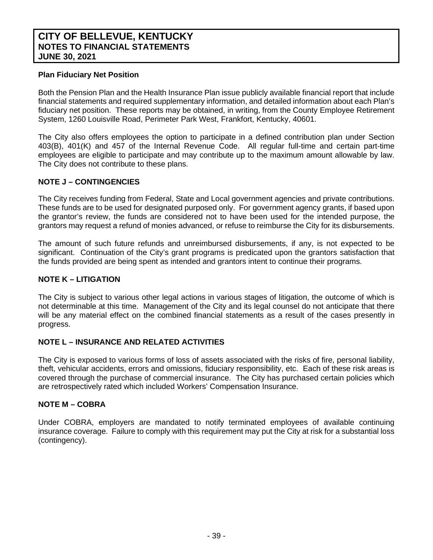#### **Plan Fiduciary Net Position**

Both the Pension Plan and the Health Insurance Plan issue publicly available financial report that include financial statements and required supplementary information, and detailed information about each Plan's fiduciary net position. These reports may be obtained, in writing, from the County Employee Retirement System, 1260 Louisville Road, Perimeter Park West, Frankfort, Kentucky, 40601.

The City also offers employees the option to participate in a defined contribution plan under Section 403(B), 401(K) and 457 of the Internal Revenue Code. All regular full-time and certain part-time employees are eligible to participate and may contribute up to the maximum amount allowable by law. The City does not contribute to these plans.

#### **NOTE J – CONTINGENCIES**

The City receives funding from Federal, State and Local government agencies and private contributions. These funds are to be used for designated purposed only. For government agency grants, if based upon the grantor's review, the funds are considered not to have been used for the intended purpose, the grantors may request a refund of monies advanced, or refuse to reimburse the City for its disbursements.

The amount of such future refunds and unreimbursed disbursements, if any, is not expected to be significant. Continuation of the City's grant programs is predicated upon the grantors satisfaction that the funds provided are being spent as intended and grantors intent to continue their programs.

#### **NOTE K – LITIGATION**

The City is subject to various other legal actions in various stages of litigation, the outcome of which is not determinable at this time. Management of the City and its legal counsel do not anticipate that there will be any material effect on the combined financial statements as a result of the cases presently in progress.

### **NOTE L – INSURANCE AND RELATED ACTIVITIES**

The City is exposed to various forms of loss of assets associated with the risks of fire, personal liability, theft, vehicular accidents, errors and omissions, fiduciary responsibility, etc. Each of these risk areas is covered through the purchase of commercial insurance. The City has purchased certain policies which are retrospectively rated which included Workers' Compensation Insurance.

### **NOTE M – COBRA**

Under COBRA, employers are mandated to notify terminated employees of available continuing insurance coverage. Failure to comply with this requirement may put the City at risk for a substantial loss (contingency).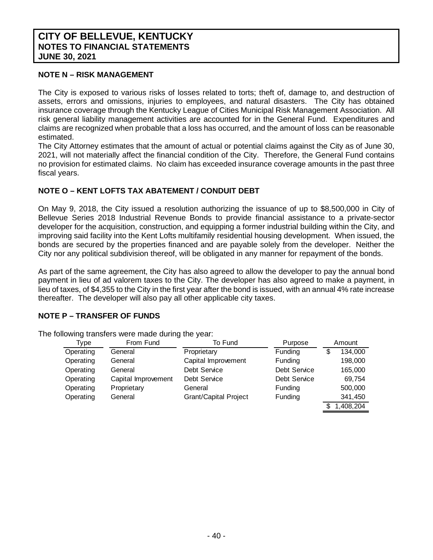#### **NOTE N – RISK MANAGEMENT**

The City is exposed to various risks of losses related to torts; theft of, damage to, and destruction of assets, errors and omissions, injuries to employees, and natural disasters. The City has obtained insurance coverage through the Kentucky League of Cities Municipal Risk Management Association. All risk general liability management activities are accounted for in the General Fund. Expenditures and claims are recognized when probable that a loss has occurred, and the amount of loss can be reasonable estimated.

The City Attorney estimates that the amount of actual or potential claims against the City as of June 30, 2021, will not materially affect the financial condition of the City. Therefore, the General Fund contains no provision for estimated claims. No claim has exceeded insurance coverage amounts in the past three fiscal years.

### **NOTE O – KENT LOFTS TAX ABATEMENT / CONDUIT DEBT**

On May 9, 2018, the City issued a resolution authorizing the issuance of up to \$8,500,000 in City of Bellevue Series 2018 Industrial Revenue Bonds to provide financial assistance to a private-sector developer for the acquisition, construction, and equipping a former industrial building within the City, and improving said facility into the Kent Lofts multifamily residential housing development. When issued, the bonds are secured by the properties financed and are payable solely from the developer. Neither the City nor any political subdivision thereof, will be obligated in any manner for repayment of the bonds.

As part of the same agreement, the City has also agreed to allow the developer to pay the annual bond payment in lieu of ad valorem taxes to the City. The developer has also agreed to make a payment, in lieu of taxes, of \$4,355 to the City in the first year after the bond is issued, with an annual 4% rate increase thereafter. The developer will also pay all other applicable city taxes.

### **NOTE P – TRANSFER OF FUNDS**

The following transfers were made during the year:

| Type      | From Fund           | To Fund                      | Purpose        |     | Amount    |
|-----------|---------------------|------------------------------|----------------|-----|-----------|
| Operating | General             | Proprietary                  | <b>Funding</b> |     | 134,000   |
| Operating | General             | Capital Improvement          | Funding        |     | 198,000   |
| Operating | General             | Debt Service                 | Debt Service   |     | 165,000   |
| Operating | Capital Improvement | Debt Service                 | Debt Service   |     | 69,754    |
| Operating | Proprietary         | General                      | <b>Funding</b> |     | 500,000   |
| Operating | General             | <b>Grant/Capital Project</b> | Funding        |     | 341,450   |
|           |                     |                              |                | \$. | 1,408,204 |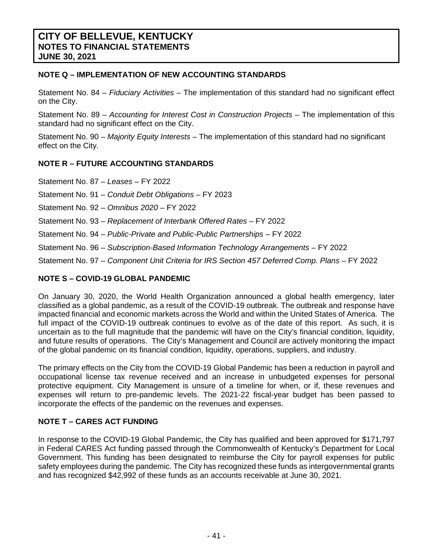### **NOTE Q – IMPLEMENTATION OF NEW ACCOUNTING STANDARDS**

Statement No. 84 – *Fiduciary Activities –* The implementation of this standard had no significant effect on the City.

Statement No. 89 – *Accounting for Interest Cost in Construction Projects –* The implementation of this standard had no significant effect on the City.

Statement No. 90 – *Majority Equity Interests* – The implementation of this standard had no significant effect on the City.

### **NOTE R – FUTURE ACCOUNTING STANDARDS**

Statement No. 87 – *Leases –* FY 2022

Statement No. 91 – *Conduit Debt Obligations* – FY 2023

Statement No. 92 – *Omnibus 2020* – FY 2022

Statement No. 93 – *Replacement of Interbank Offered Rates* – FY 2022

Statement No. 94 – *Public-Private and Public-Public Partnerships* – FY 2022

Statement No. 96 – *Subscription-Based Information Technology Arrangements* – FY 2022

Statement No. 97 – *Component Unit Criteria for IRS Section 457 Deferred Comp. Plans* – FY 2022

### **NOTE S – COVID-19 GLOBAL PANDEMIC**

On January 30, 2020, the World Health Organization announced a global health emergency, later classified as a global pandemic, as a result of the COVID-19 outbreak. The outbreak and response have impacted financial and economic markets across the World and within the United States of America. The full impact of the COVID-19 outbreak continues to evolve as of the date of this report. As such, it is uncertain as to the full magnitude that the pandemic will have on the City's financial condition, liquidity, and future results of operations. The City's Management and Council are actively monitoring the impact of the global pandemic on its financial condition, liquidity, operations, suppliers, and industry.

The primary effects on the City from the COVID-19 Global Pandemic has been a reduction in payroll and occupational license tax revenue received and an increase in unbudgeted expenses for personal protective equipment. City Management is unsure of a timeline for when, or if, these revenues and expenses will return to pre-pandemic levels. The 2021-22 fiscal-year budget has been passed to incorporate the effects of the pandemic on the revenues and expenses.

### **NOTE T – CARES ACT FUNDING**

In response to the COVID-19 Global Pandemic, the City has qualified and been approved for \$171,797 in Federal CARES Act funding passed through the Commonwealth of Kentucky's Department for Local Government. This funding has been designated to reimburse the City for payroll expenses for public safety employees during the pandemic. The City has recognized these funds as intergovernmental grants and has recognized \$42,992 of these funds as an accounts receivable at June 30, 2021.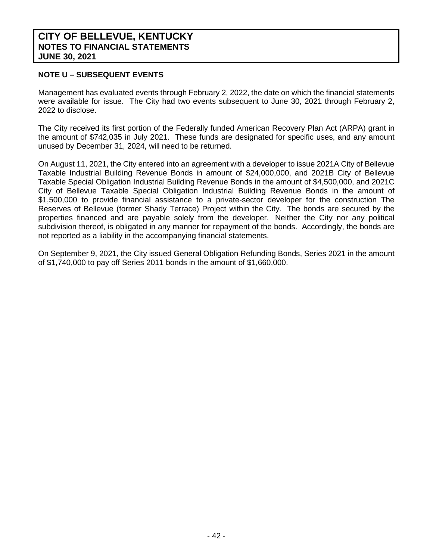### **NOTE U – SUBSEQUENT EVENTS**

Management has evaluated events through February 2, 2022, the date on which the financial statements were available for issue. The City had two events subsequent to June 30, 2021 through February 2, 2022 to disclose.

The City received its first portion of the Federally funded American Recovery Plan Act (ARPA) grant in the amount of \$742,035 in July 2021. These funds are designated for specific uses, and any amount unused by December 31, 2024, will need to be returned.

On August 11, 2021, the City entered into an agreement with a developer to issue 2021A City of Bellevue Taxable Industrial Building Revenue Bonds in amount of \$24,000,000, and 2021B City of Bellevue Taxable Special Obligation Industrial Building Revenue Bonds in the amount of \$4,500,000, and 2021C City of Bellevue Taxable Special Obligation Industrial Building Revenue Bonds in the amount of \$1,500,000 to provide financial assistance to a private-sector developer for the construction The Reserves of Bellevue (former Shady Terrace) Project within the City. The bonds are secured by the properties financed and are payable solely from the developer. Neither the City nor any political subdivision thereof, is obligated in any manner for repayment of the bonds. Accordingly, the bonds are not reported as a liability in the accompanying financial statements.

On September 9, 2021, the City issued General Obligation Refunding Bonds, Series 2021 in the amount of \$1,740,000 to pay off Series 2011 bonds in the amount of \$1,660,000.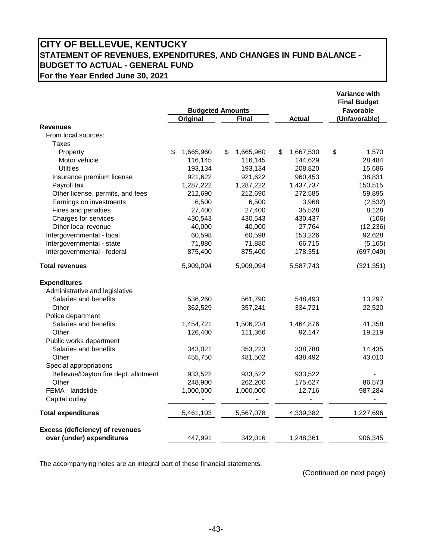# **CITY OF BELLEVUE, KENTUCKY STATEMENT OF REVENUES, EXPENDITURES, AND CHANGES IN FUND BALANCE - BUDGET TO ACTUAL - GENERAL FUND For the Year Ended June 30, 2021**

|                                        |                    |                         |                 | Variance with<br><b>Final Budget</b> |
|----------------------------------------|--------------------|-------------------------|-----------------|--------------------------------------|
|                                        |                    | <b>Budgeted Amounts</b> |                 | <b>Favorable</b>                     |
|                                        | Original           | <b>Final</b>            | <b>Actual</b>   | (Unfavorable)                        |
| <b>Revenues</b>                        |                    |                         |                 |                                      |
| From local sources:                    |                    |                         |                 |                                      |
| Taxes                                  |                    |                         |                 |                                      |
| Property                               | \$<br>1,665,960    | \$<br>1,665,960         | \$<br>1,667,530 | \$<br>1,570                          |
| Motor vehicle                          | 116,145            | 116,145                 | 144,629         | 28,484                               |
| <b>Utilties</b>                        | 193,134            | 193,134                 | 208,820         | 15,686                               |
| Insurance premium license              | 921,622            | 921,622                 | 960,453         | 38,831                               |
| Payroll tax                            | 1,287,222          | 1,287,222               | 1,437,737       | 150,515                              |
| Other license, permits, and fees       | 212,690            | 212,690                 | 272,585         | 59,895                               |
| Earnings on investments                | 6,500              | 6,500                   | 3,968           | (2,532)                              |
| Fines and penalties                    | 27,400             | 27,400                  | 35,528          | 8,128                                |
| Charges for services                   | 430,543            | 430,543                 | 430,437         | (106)                                |
| Other local revenue                    | 40,000             | 40,000                  | 27,764          | (12, 236)                            |
| Intergovernmental - local              | 60,598             | 60,598                  | 153,226         | 92,628                               |
| Intergovernmental - state              | 71,880             | 71,880                  | 66,715          | (5, 165)                             |
| Intergovernmental - federal            | 875,400            | 875,400                 | 178,351         | (697, 049)                           |
| <b>Total revenues</b>                  | 5,909,094          | 5,909,094               | 5,587,743       | (321, 351)                           |
| <b>Expenditures</b>                    |                    |                         |                 |                                      |
| Administrative and legislative         |                    |                         |                 |                                      |
| Salaries and benefits                  | 536,260            | 561,790                 | 548,493         | 13,297                               |
| Other                                  | 362,529            | 357,241                 | 334,721         | 22,520                               |
| Police department                      |                    |                         |                 |                                      |
| Salaries and benefits                  | 1,454,721          | 1,506,234               | 1,464,876       | 41,358                               |
| Other                                  | 126,400            | 111,366                 | 92,147          | 19,219                               |
| Public works department                |                    |                         |                 |                                      |
| Salaries and benefits                  | 343,021            | 353,223                 | 338,788         | 14,435                               |
| Other                                  | 455,750            | 481,502                 | 438,492         | 43,010                               |
| Special appropriations                 |                    |                         |                 |                                      |
| Bellevue/Dayton fire dept. allotment   |                    | 933,522                 |                 |                                      |
| Other                                  | 933,522<br>248,900 | 262,200                 | 933,522         |                                      |
| FEMA - landslide                       |                    |                         | 175,627         | 86,573                               |
| Capital outlay                         | 1,000,000          | 1,000,000               | 12,716          | 987,284                              |
| <b>Total expenditures</b>              | 5,461,103          | 5,567,078               | 4,339,382       | 1,227,696                            |
|                                        |                    |                         |                 |                                      |
| <b>Excess (deficiency) of revenues</b> |                    |                         |                 |                                      |
| over (under) expenditures              | 447,991            | 342,016                 | 1,248,361       | 906,345                              |

The accompanying notes are an integral part of these financial statements.

(Continued on next page)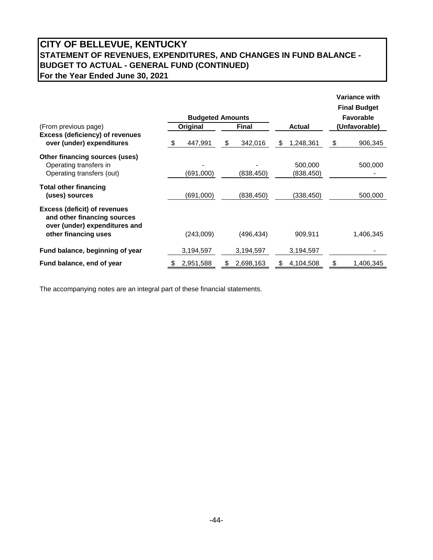# **CITY OF BELLEVUE, KENTUCKY STATEMENT OF REVENUES, EXPENDITURES, AND CHANGES IN FUND BALANCE - BUDGET TO ACTUAL - GENERAL FUND (CONTINUED) For the Year Ended June 30, 2021**

|                                                                                                                             |    |                         |    |              |    |                      |                  | <b>Variance with</b><br><b>Final Budget</b> |  |  |  |
|-----------------------------------------------------------------------------------------------------------------------------|----|-------------------------|----|--------------|----|----------------------|------------------|---------------------------------------------|--|--|--|
|                                                                                                                             |    | <b>Budgeted Amounts</b> |    |              |    |                      | <b>Favorable</b> |                                             |  |  |  |
| (From previous page)                                                                                                        |    | Original                |    | <b>Final</b> |    | <b>Actual</b>        | (Unfavorable)    |                                             |  |  |  |
| <b>Excess (deficiency) of revenues</b><br>over (under) expenditures                                                         | -S | 447,991                 | \$ | 342,016      | \$ | 1,248,361            | \$               | 906,345                                     |  |  |  |
| Other financing sources (uses)<br>Operating transfers in<br>Operating transfers (out)                                       |    | (691,000)               |    | (838,450)    |    | 500,000<br>(838,450) |                  | 500,000                                     |  |  |  |
| <b>Total other financing</b><br>(uses) sources                                                                              |    | (691,000)               |    | (838, 450)   |    | (338,450)            |                  | 500,000                                     |  |  |  |
| <b>Excess (deficit) of revenues</b><br>and other financing sources<br>over (under) expenditures and<br>other financing uses |    | (243,009)               |    | (496, 434)   |    | 909,911              |                  | 1,406,345                                   |  |  |  |
| Fund balance, beginning of year                                                                                             |    | 3,194,597               |    | 3,194,597    |    | 3,194,597            |                  |                                             |  |  |  |
| Fund balance, end of year                                                                                                   |    | 2,951,588               | S  | 2,698,163    | SБ | 4,104,508            | \$               | 1,406,345                                   |  |  |  |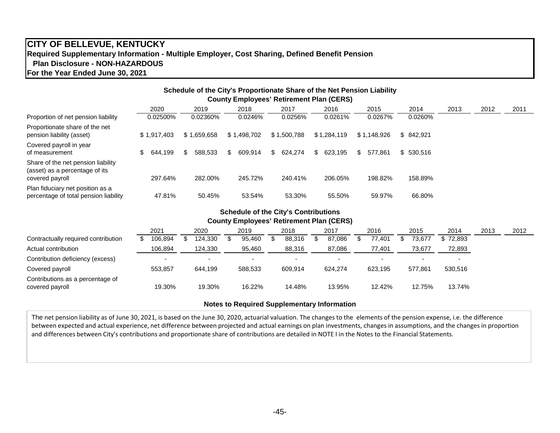### **CITY OF BELLEVUE, KENTUCKY Required Supplementary Information - Multiple Employer, Cost Sharing, Defined Benefit Pension Plan Disclosure - NON-HAZARDOUS For the Year Ended June 30, 2021**

2020 2019 2018 2017 2016 2015 2014 2013 2012 2011 Proportion of net pension liability 0.02500% 0.02360% 0.0246% 0.0256% 0.0261% 0.0267% 0.0260% Proportionate share of the net pension liability (asset) \$ 1,917,403 \$ 1,659,658 \$ 1,498,702 \$ 1,500,788 \$ 1,284,119 \$ 1,148,926 \$ 842,921 Covered payroll in year of measurement \$ 644,199 \$ 588,533 \$ 609,914 \$ 624,274 \$ 623,195 \$ 577,861 \$ 530,516 Share of the net pension liability (asset) as a percentage of its covered payroll 297.64% 282.00% 245.72% 240.41% 206.05% 198.82% 158.89% Plan fiduciary net position as a percentage of total pension liability 47.81% 50.45% 53.54% 53.30% 55.50% 59.97% 66.80% **Schedule of the City's Proportionate Share of the Net Pension Liability County Employees' Retirement Plan (CERS) Schedule of the City's Contributions**

# **County Employees' Retirement Plan (CERS)**

| 2021                                                |  |                          | 2020    |  | 2019    |  | 2018    |  | 2017    |  | 2016    |  | 2015    | 2014     | 2013 | 2012 |
|-----------------------------------------------------|--|--------------------------|---------|--|---------|--|---------|--|---------|--|---------|--|---------|----------|------|------|
| Contractually required contribution                 |  | 106,894                  | 124,330 |  | 95,460  |  | 88.316  |  | 87,086  |  | 77.401  |  | 73.677  | \$72,893 |      |      |
| Actual contribution                                 |  | 106,894                  | 124,330 |  | 95,460  |  | 88,316  |  | 87,086  |  | 77.401  |  | 73,677  | 72,893   |      |      |
| Contribution deficiency (excess)                    |  | $\overline{\phantom{a}}$ |         |  |         |  |         |  | -       |  |         |  |         |          |      |      |
| Covered payroll                                     |  | 553,857                  | 644.199 |  | 588,533 |  | 609,914 |  | 624,274 |  | 623,195 |  | 577.861 | 530,516  |      |      |
| Contributions as a percentage of<br>covered payroll |  | 19.30%                   | 19.30%  |  | 16.22%  |  | 14.48%  |  | 13.95%  |  | 12.42%  |  | 12.75%  | 13.74%   |      |      |

#### **Notes to Required Supplementary Information**

The net pension liability as of June 30, 2021, is based on the June 30, 2020, actuarial valuation. The changes to the elements of the pension expense, i.e. the difference between expected and actual experience, net difference between projected and actual earnings on plan investments, changes in assumptions, and the changes in proportion and differences between City's contributions and proportionate share of contributions are detailed in NOTE I in the Notes to the Financial Statements.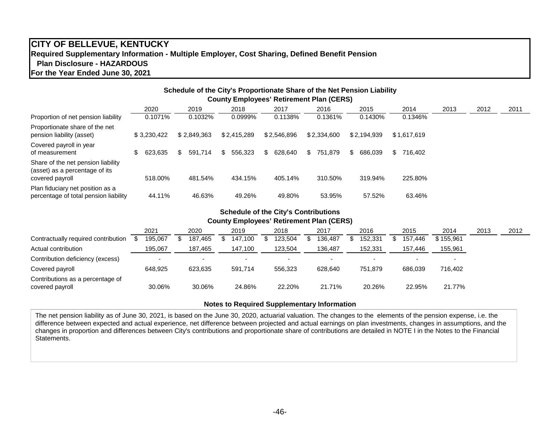### **CITY OF BELLEVUE, KENTUCKY Required Supplementary Information - Multiple Employer, Cost Sharing, Defined Benefit Pension Plan Disclosure - HAZARDOUS For the Year Ended June 30, 2021**

|                                                                                                                         | Schedule of the City's Proportionate Share of the Net Pension Liability |               |               |               |               |                |              |  |  |  |  |  |  |  |
|-------------------------------------------------------------------------------------------------------------------------|-------------------------------------------------------------------------|---------------|---------------|---------------|---------------|----------------|--------------|--|--|--|--|--|--|--|
| <b>County Employees' Retirement Plan (CERS)</b><br>2012<br>2020<br>2019<br>2018<br>2017<br>2016<br>2015<br>2014<br>2013 |                                                                         |               |               |               |               |                |              |  |  |  |  |  |  |  |
| Proportion of net pension liability                                                                                     | 0.1071%                                                                 | 0.1032%       | 0.0999%       | 0.1138%       | 0.1361%       | 0.1430%        | 0.1346%      |  |  |  |  |  |  |  |
| Proportionate share of the net<br>pension liability (asset)                                                             | \$3.230.422                                                             | \$2.849.363   | \$2.415.289   | \$2,546,896   | \$2.334,600   | \$2.194.939    | \$1.617.619  |  |  |  |  |  |  |  |
| Covered payroll in year<br>of measurement                                                                               | \$<br>623.635                                                           | \$<br>591.714 | 556.323<br>S. | 628.640<br>S. | 751.879<br>S. | 686.039<br>\$. | 716.402<br>S |  |  |  |  |  |  |  |
| Share of the net pension liability<br>(asset) as a percentage of its<br>covered payroll                                 | 518.00%                                                                 | 481.54%       | 434.15%       | 405.14%       | 310.50%       | 319.94%        | 225.80%      |  |  |  |  |  |  |  |
| Plan fiduciary net position as a<br>percentage of total pension liability                                               | 44.11%                                                                  | 46.63%        | 49.26%        | 49.80%        | 53.95%        | 57.52%         | 63.46%       |  |  |  |  |  |  |  |

#### **Schedule of the City's Contributions County Employees' Retirement Plan (CERS)**

|                                                     | 2021    | 2020    | 2019                     |  | 2018    |  | 2017    |  | 2016    | 2015    |           | 2014    | 2013 |  | 2012 |
|-----------------------------------------------------|---------|---------|--------------------------|--|---------|--|---------|--|---------|---------|-----------|---------|------|--|------|
| Contractually required contribution                 | 195,067 | 187,465 | 147.100                  |  | 123,504 |  | 136,487 |  | 152,331 | 157.446 | \$155.961 |         |      |  |      |
| Actual contribution                                 | 195,067 | 187,465 | 147,100                  |  | 123,504 |  | 136,487 |  | 152,331 | 157,446 |           | 155,961 |      |  |      |
| Contribution deficiency (excess)                    |         |         | $\overline{\phantom{0}}$ |  |         |  |         |  |         |         |           | -       |      |  |      |
| Covered payroll                                     | 648,925 | 623,635 | 591.714                  |  | 556,323 |  | 628,640 |  | 751,879 | 686,039 |           | 716,402 |      |  |      |
| Contributions as a percentage of<br>covered payroll | 30.06%  | 30.06%  | 24.86%                   |  | 22.20%  |  | 21.71%  |  | 20.26%  | 22.95%  |           | 21.77%  |      |  |      |

#### **Notes to Required Supplementary Information**

The net pension liability as of June 30, 2021, is based on the June 30, 2020, actuarial valuation. The changes to the elements of the pension expense, i.e. the difference between expected and actual experience, net difference between projected and actual earnings on plan investments, changes in assumptions, and the changes in proportion and differences between City's contributions and proportionate share of contributions are detailed in NOTE I in the Notes to the Financial Statements.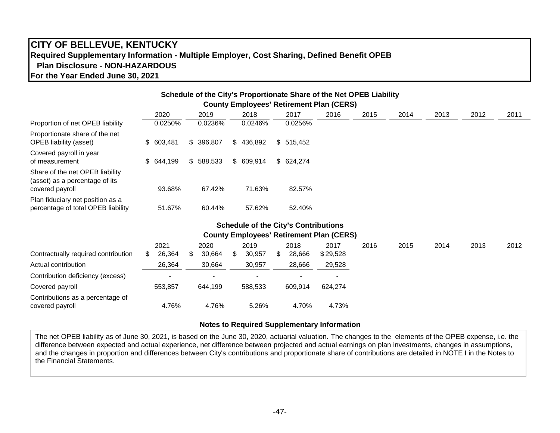# **CITY OF BELLEVUE, KENTUCKY Required Supplementary Information - Multiple Employer, Cost Sharing, Defined Benefit OPEB Plan Disclosure - NON-HAZARDOUS For the Year Ended June 30, 2021**

|                                                                                      | Schedule of the City's Proportionate Share of the Net OPEB Liability<br><b>County Employees' Retirement Plan (CERS)</b> |  |            |  |           |  |            |      |      |      |      |      |      |  |  |
|--------------------------------------------------------------------------------------|-------------------------------------------------------------------------------------------------------------------------|--|------------|--|-----------|--|------------|------|------|------|------|------|------|--|--|
|                                                                                      | 2020                                                                                                                    |  | 2019       |  | 2018      |  | 2017       | 2016 | 2015 | 2014 | 2013 | 2012 | 2011 |  |  |
| Proportion of net OPEB liability                                                     | 0.0250%                                                                                                                 |  | 0.0236%    |  | 0.0246%   |  | 0.0256%    |      |      |      |      |      |      |  |  |
| Proportionate share of the net<br><b>OPEB</b> liability (asset)                      | \$603.481                                                                                                               |  | \$ 396,807 |  | \$436,892 |  | \$ 515,452 |      |      |      |      |      |      |  |  |
| Covered payroll in year<br>of measurement                                            | \$ 644.199                                                                                                              |  | \$588.533  |  | \$609.914 |  | \$ 624,274 |      |      |      |      |      |      |  |  |
| Share of the net OPEB liability<br>(asset) as a percentage of its<br>covered payroll | 93.68%                                                                                                                  |  | 67.42%     |  | 71.63%    |  | 82.57%     |      |      |      |      |      |      |  |  |
| Plan fiduciary net position as a<br>percentage of total OPEB liability               | 51.67%                                                                                                                  |  | 60.44%     |  | 57.62%    |  | 52.40%     |      |      |      |      |      |      |  |  |

#### **Schedule of the City's Contributions County Employees' Retirement Plan (CERS)**

|                                                     | 2021    | 2020    | 2019    |  | 2018    | 2017                     | 2016 | 2015 | 2014 | 2013 | 2012 |
|-----------------------------------------------------|---------|---------|---------|--|---------|--------------------------|------|------|------|------|------|
| Contractually required contribution                 | 26,364  | 30.664  | 30.957  |  | 28.666  | \$29,528                 |      |      |      |      |      |
| Actual contribution                                 | 26,364  | 30,664  | 30,957  |  | 28,666  | 29,528                   |      |      |      |      |      |
| Contribution deficiency (excess)                    |         |         |         |  | $\,$    | $\overline{\phantom{a}}$ |      |      |      |      |      |
| Covered payroll                                     | 553.857 | 644.199 | 588,533 |  | 609.914 | 624,274                  |      |      |      |      |      |
| Contributions as a percentage of<br>covered payroll | 4.76%   | 4.76%   | 5.26%   |  | 4.70%   | 4.73%                    |      |      |      |      |      |

#### **Notes to Required Supplementary Information**

The net OPEB liability as of June 30, 2021, is based on the June 30, 2020, actuarial valuation. The changes to the elements of the OPEB expense, i.e. the difference between expected and actual experience, net difference between projected and actual earnings on plan investments, changes in assumptions, and the changes in proportion and differences between City's contributions and proportionate share of contributions are detailed in NOTE I in the Notes to the Financial Statements.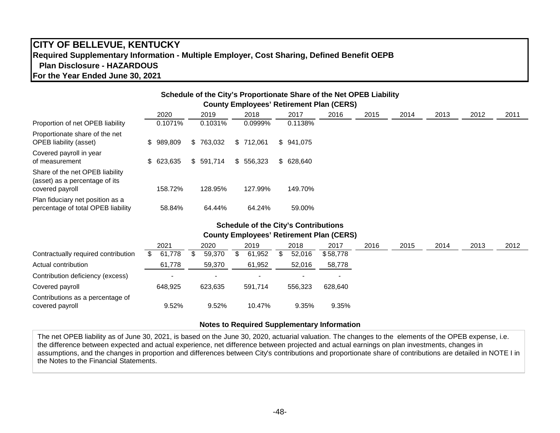# **CITY OF BELLEVUE, KENTUCKY Required Supplementary Information - Multiple Employer, Cost Sharing, Defined Benefit OEPB Plan Disclosure - HAZARDOUS For the Year Ended June 30, 2021**

|                                                                                      | Schedule of the City's Proportionate Share of the Net OPEB Liability |    |            |  |           |  |           |      |  |      |      |      |      |      |
|--------------------------------------------------------------------------------------|----------------------------------------------------------------------|----|------------|--|-----------|--|-----------|------|--|------|------|------|------|------|
| <b>County Employees' Retirement Plan (CERS)</b>                                      |                                                                      |    |            |  |           |  |           |      |  |      |      |      |      |      |
|                                                                                      | 2020                                                                 |    | 2019       |  | 2018      |  | 2017      | 2016 |  | 2015 | 2014 | 2013 | 2012 | 2011 |
| Proportion of net OPEB liability                                                     | 0.1071%                                                              |    | 0.1031%    |  | 0.0999%   |  | 0.1138%   |      |  |      |      |      |      |      |
| Proportionate share of the net<br><b>OPEB</b> liability (asset)                      | \$989,809                                                            | S. | 763.032    |  | \$712.061 |  | \$941.075 |      |  |      |      |      |      |      |
| Covered payroll in year<br>of measurement                                            | \$ 623,635                                                           |    | \$ 591.714 |  | \$556.323 |  | \$628,640 |      |  |      |      |      |      |      |
| Share of the net OPEB liability<br>(asset) as a percentage of its<br>covered payroll | 158.72%                                                              |    | 128.95%    |  | 127.99%   |  | 149.70%   |      |  |      |      |      |      |      |
| Plan fiduciary net position as a<br>percentage of total OPEB liability               | 58.84%                                                               |    | 64.44%     |  | 64.24%    |  | 59.00%    |      |  |      |      |      |      |      |

#### **Schedule of the City's Contributions County Employees' Retirement Plan (CERS)**

|                                                     | 2021    | 2020    | 2019    |  | 2018    | 2017                     | 2016 | 2015 | 2014 | 2013 | 2012 |
|-----------------------------------------------------|---------|---------|---------|--|---------|--------------------------|------|------|------|------|------|
| Contractually required contribution                 | 61.778  | 59,370  | 61,952  |  | 52,016  | \$58.778                 |      |      |      |      |      |
| Actual contribution                                 | 61,778  | 59,370  | 61,952  |  | 52,016  | 58,778                   |      |      |      |      |      |
| Contribution deficiency (excess)                    |         |         |         |  |         | $\overline{\phantom{0}}$ |      |      |      |      |      |
| Covered payroll                                     | 648.925 | 623,635 | 591.714 |  | 556.323 | 628.640                  |      |      |      |      |      |
| Contributions as a percentage of<br>covered payroll | 9.52%   | 9.52%   | 10.47%  |  | 9.35%   | 9.35%                    |      |      |      |      |      |

#### **Notes to Required Supplementary Information**

The net OPEB liability as of June 30, 2021, is based on the June 30, 2020, actuarial valuation. The changes to the elements of the OPEB expense, i.e. the difference between expected and actual experience, net difference between projected and actual earnings on plan investments, changes in assumptions, and the changes in proportion and differences between City's contributions and proportionate share of contributions are detailed in NOTE I in the Notes to the Financial Statements.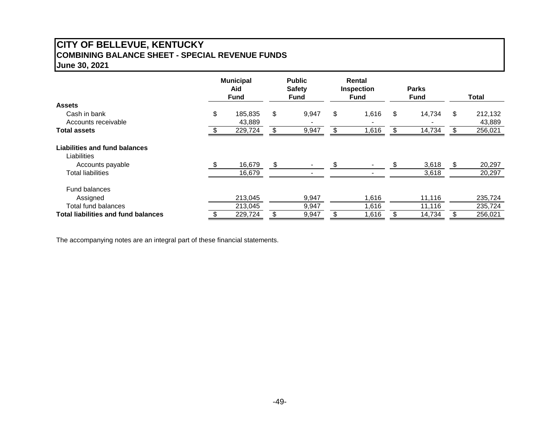# **CITY OF BELLEVUE, KENTUCKY COMBINING BALANCE SHEET - SPECIAL REVENUE FUNDS June 30, 2021**

|                                            | <b>Municipal</b><br>Aid<br><b>Fund</b> |         |    | <b>Public</b><br><b>Safety</b><br><b>Fund</b> | Rental<br><b>Inspection</b><br><b>Fund</b> |       | <b>Parks</b><br><b>Fund</b> |        | <b>Total</b> |         |
|--------------------------------------------|----------------------------------------|---------|----|-----------------------------------------------|--------------------------------------------|-------|-----------------------------|--------|--------------|---------|
| <b>Assets</b>                              |                                        |         |    |                                               |                                            |       |                             |        |              |         |
| Cash in bank                               | \$                                     | 185,835 | \$ | 9,947                                         | \$                                         | 1,616 | \$                          | 14,734 | \$           | 212,132 |
| Accounts receivable                        |                                        | 43,889  |    |                                               |                                            |       |                             |        |              | 43,889  |
| <b>Total assets</b>                        |                                        | 229,724 | \$ | 9,947                                         | \$                                         | 1,616 |                             | 14,734 | \$.          | 256,021 |
| Liabilities and fund balances              |                                        |         |    |                                               |                                            |       |                             |        |              |         |
| Liabilities                                |                                        |         |    |                                               |                                            |       |                             |        |              |         |
| Accounts payable                           |                                        | 16,679  | S  |                                               | \$                                         |       | S                           | 3,618  | \$           | 20,297  |
| <b>Total liabilities</b>                   |                                        | 16,679  |    |                                               |                                            |       |                             | 3,618  |              | 20,297  |
| Fund balances                              |                                        |         |    |                                               |                                            |       |                             |        |              |         |
| Assigned                                   |                                        | 213.045 |    | 9,947                                         |                                            | 1,616 |                             | 11,116 |              | 235,724 |
| <b>Total fund balances</b>                 |                                        | 213,045 |    | 9,947                                         |                                            | 1,616 |                             | 11,116 |              | 235,724 |
| <b>Total liabilities and fund balances</b> |                                        | 229,724 |    | 9,947                                         |                                            | 1,616 |                             | 14,734 |              | 256,021 |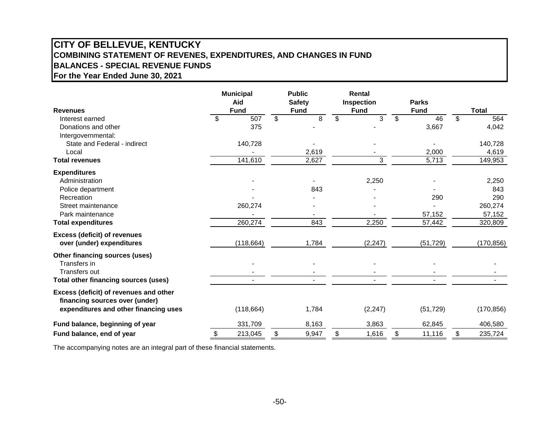# **CITY OF BELLEVUE, KENTUCKY COMBINING STATEMENT OF REVENES, EXPENDITURES, AND CHANGES IN FUND BALANCES - SPECIAL REVENUE FUNDS**

**For the Year Ended June 30, 2021**

| <b>Revenues</b>                                                          | <b>Municipal</b><br>Aid<br><b>Fund</b> | <b>Public</b><br><b>Safety</b><br><b>Fund</b> |     | Rental<br>Inspection<br><b>Fund</b> | <b>Parks</b><br><b>Fund</b> |           | <b>Total</b>  |
|--------------------------------------------------------------------------|----------------------------------------|-----------------------------------------------|-----|-------------------------------------|-----------------------------|-----------|---------------|
| Interest earned                                                          | \$<br>507                              | \$<br>8                                       | \$. | 3                                   | \$                          | 46        | \$<br>564     |
| Donations and other                                                      | 375                                    |                                               |     |                                     |                             | 3,667     | 4,042         |
| Intergovernmental:                                                       |                                        |                                               |     |                                     |                             |           |               |
| State and Federal - indirect                                             | 140,728                                |                                               |     |                                     |                             |           | 140,728       |
| Local                                                                    |                                        | 2,619                                         |     |                                     |                             | 2,000     | 4,619         |
| <b>Total revenues</b>                                                    | 141,610                                | 2,627                                         |     | 3                                   |                             | 5,713     | 149,953       |
| <b>Expenditures</b>                                                      |                                        |                                               |     |                                     |                             |           |               |
| Administration                                                           |                                        |                                               |     | 2,250                               |                             |           | 2,250         |
| Police department                                                        |                                        | 843                                           |     |                                     |                             |           | 843           |
| Recreation                                                               |                                        |                                               |     |                                     |                             | 290       | 290           |
| Street maintenance                                                       | 260,274                                |                                               |     |                                     |                             |           | 260,274       |
| Park maintenance                                                         |                                        |                                               |     |                                     |                             | 57,152    | 57,152        |
| <b>Total expenditures</b>                                                | 260,274                                | 843                                           |     | 2,250                               |                             | 57,442    | 320,809       |
| <b>Excess (deficit) of revenues</b><br>over (under) expenditures         | (118, 664)                             | 1,784                                         |     | (2, 247)                            |                             | (51, 729) | (170, 856)    |
| Other financing sources (uses)                                           |                                        |                                               |     |                                     |                             |           |               |
| Transfers in                                                             |                                        |                                               |     |                                     |                             |           |               |
| Transfers out                                                            |                                        |                                               |     |                                     |                             |           |               |
| Total other financing sources (uses)                                     |                                        |                                               |     |                                     |                             |           |               |
| Excess (deficit) of revenues and other<br>financing sources over (under) |                                        |                                               |     |                                     |                             |           |               |
| expenditures and other financing uses                                    | (118, 664)                             | 1,784                                         |     | (2, 247)                            |                             | (51, 729) | (170, 856)    |
| Fund balance, beginning of year                                          | 331,709                                | 8,163                                         |     | 3,863                               |                             | 62,845    | 406,580       |
| Fund balance, end of year                                                | \$<br>213,045                          | \$<br>9,947                                   | \$  | 1,616                               | \$                          | 11,116    | \$<br>235,724 |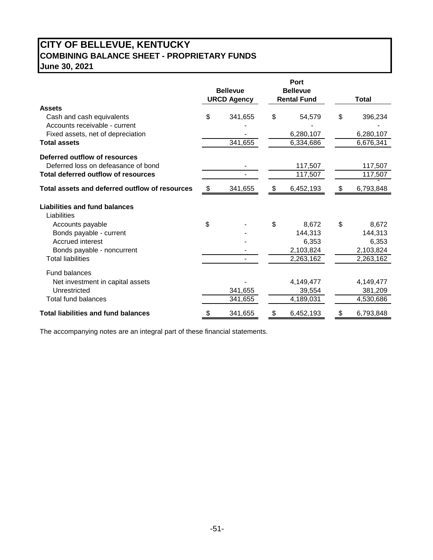# **CITY OF BELLEVUE, KENTUCKY COMBINING BALANCE SHEET - PROPRIETARY FUNDS June 30, 2021**

|                                                          |     | <b>Bellevue</b><br><b>URCD Agency</b> | Port<br><b>Bellevue</b><br><b>Rental Fund</b> | <b>Total</b>           |
|----------------------------------------------------------|-----|---------------------------------------|-----------------------------------------------|------------------------|
| <b>Assets</b>                                            |     |                                       |                                               |                        |
| Cash and cash equivalents                                | \$  | 341,655                               | \$<br>54,579                                  | \$<br>396,234          |
| Accounts receivable - current                            |     |                                       |                                               |                        |
| Fixed assets, net of depreciation<br><b>Total assets</b> |     | 341,655                               | 6,280,107<br>6,334,686                        | 6,280,107<br>6,676,341 |
|                                                          |     |                                       |                                               |                        |
| Deferred outflow of resources                            |     |                                       |                                               |                        |
| Deferred loss on defeasance of bond                      |     |                                       | 117,507                                       | 117,507                |
| <b>Total deferred outflow of resources</b>               |     |                                       | 117,507                                       | 117,507                |
| Total assets and deferred outflow of resources           | -\$ | 341,655                               | \$<br>6,452,193                               | \$<br>6,793,848        |
| Liabilities and fund balances                            |     |                                       |                                               |                        |
| Liabilities                                              |     |                                       |                                               |                        |
| Accounts payable                                         | \$  |                                       | \$<br>8,672                                   | \$<br>8,672            |
| Bonds payable - current                                  |     |                                       | 144,313                                       | 144,313                |
| Accrued interest                                         |     |                                       | 6,353                                         | 6,353                  |
| Bonds payable - noncurrent                               |     |                                       | 2,103,824                                     | 2,103,824              |
| <b>Total liabilities</b>                                 |     |                                       | 2,263,162                                     | 2,263,162              |
| <b>Fund balances</b>                                     |     |                                       |                                               |                        |
| Net investment in capital assets                         |     |                                       | 4,149,477                                     | 4,149,477              |
| Unrestricted                                             |     | 341,655                               | 39,554                                        | 381,209                |
| <b>Total fund balances</b>                               |     | 341,655                               | 4,189,031                                     | 4,530,686              |
| <b>Total liabilities and fund balances</b>               |     | 341,655                               | 6,452,193                                     | 6,793,848              |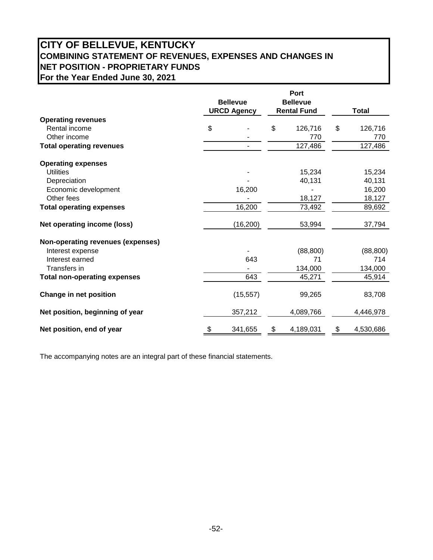# **CITY OF BELLEVUE, KENTUCKY COMBINING STATEMENT OF REVENUES, EXPENSES AND CHANGES IN NET POSITION - PROPRIETARY FUNDS For the Year Ended June 30, 2021**

|                                     | <b>Bellevue</b>    | <b>Bellevue</b>    |                 |
|-------------------------------------|--------------------|--------------------|-----------------|
|                                     | <b>URCD Agency</b> | <b>Rental Fund</b> | <b>Total</b>    |
| <b>Operating revenues</b>           |                    |                    |                 |
| Rental income                       | \$                 | \$<br>126,716      | \$<br>126,716   |
| Other income                        |                    | 770                | 770             |
| <b>Total operating revenues</b>     |                    | 127,486            | 127,486         |
| <b>Operating expenses</b>           |                    |                    |                 |
| <b>Utilities</b>                    |                    | 15,234             | 15,234          |
| Depreciation                        |                    | 40,131             | 40,131          |
| Economic development                | 16,200             |                    | 16,200          |
| Other fees                          |                    | 18,127             | 18,127          |
| <b>Total operating expenses</b>     | 16,200             | 73,492             | 89,692          |
| Net operating income (loss)         | (16, 200)          | 53,994             | 37,794          |
| Non-operating revenues (expenses)   |                    |                    |                 |
| Interest expense                    |                    | (88, 800)          | (88, 800)       |
| Interest earned                     | 643                | 71                 | 714             |
| Transfers in                        |                    | 134,000            | 134,000         |
| <b>Total non-operating expenses</b> | 643                | 45,271             | 45,914          |
| Change in net position              | (15, 557)          | 99,265             | 83,708          |
| Net position, beginning of year     | 357,212            | 4,089,766          | 4,446,978       |
| Net position, end of year           | \$<br>341,655      | \$<br>4,189,031    | \$<br>4,530,686 |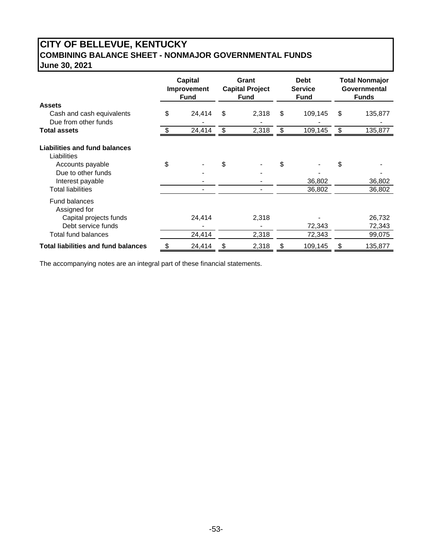# **CITY OF BELLEVUE, KENTUCKY COMBINING BALANCE SHEET - NONMAJOR GOVERNMENTAL FUNDS June 30, 2021**

|                                                                                                                                        | <b>Capital</b><br>Improvement<br><b>Fund</b> | Grant<br><b>Capital Project</b><br><b>Fund</b> |    | <b>Debt</b><br><b>Service</b><br><b>Fund</b> | <b>Total Nonmajor</b><br>Governmental<br><b>Funds</b> |                            |
|----------------------------------------------------------------------------------------------------------------------------------------|----------------------------------------------|------------------------------------------------|----|----------------------------------------------|-------------------------------------------------------|----------------------------|
| <b>Assets</b><br>Cash and cash equivalents<br>Due from other funds                                                                     | \$<br>24,414                                 | \$<br>2,318                                    | \$ | 109,145                                      | \$                                                    | 135,877                    |
| <b>Total assets</b>                                                                                                                    | 24,414                                       | \$<br>2,318                                    | \$ | 109,145                                      | \$                                                    | 135,877                    |
| Liabilities and fund balances<br>Liabilities<br>Accounts payable<br>Due to other funds<br>Interest payable<br><b>Total liabilities</b> | \$                                           | \$                                             | \$ | 36,802<br>36,802                             | \$                                                    | 36,802<br>36,802           |
| <b>Fund balances</b><br>Assigned for<br>Capital projects funds<br>Debt service funds<br>Total fund balances                            | 24,414<br>24,414                             | 2,318<br>2,318                                 |    | 72,343<br>72,343                             |                                                       | 26,732<br>72,343<br>99,075 |
| <b>Total liabilities and fund balances</b>                                                                                             | \$<br>24,414                                 | \$<br>2,318                                    | S  | 109,145                                      | \$                                                    | 135,877                    |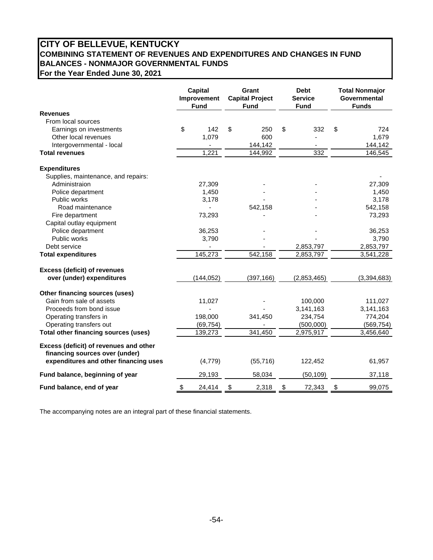## **CITY OF BELLEVUE, KENTUCKY COMBINING STATEMENT OF REVENUES AND EXPENDITURES AND CHANGES IN FUND BALANCES - NONMAJOR GOVERNMENTAL FUNDS For the Year Ended June 30, 2021**

|                                                                          | <b>Capital</b><br>Improvement<br><b>Fund</b> |                              | Grant<br><b>Capital Project</b><br><b>Fund</b> | <b>Debt</b><br><b>Service</b><br><b>Fund</b> |             | <b>Total Nonmajor</b><br>Governmental<br><b>Funds</b> |             |
|--------------------------------------------------------------------------|----------------------------------------------|------------------------------|------------------------------------------------|----------------------------------------------|-------------|-------------------------------------------------------|-------------|
| <b>Revenues</b>                                                          |                                              |                              |                                                |                                              |             |                                                       |             |
| From local sources                                                       |                                              |                              |                                                |                                              |             |                                                       |             |
| Earnings on investments                                                  | \$                                           | 142                          | \$<br>250                                      | \$                                           | 332         | \$                                                    | 724         |
| Other local revenues                                                     |                                              | 1,079                        | 600                                            |                                              |             |                                                       | 1,679       |
| Intergovernmental - local                                                |                                              | $\qquad \qquad \blacksquare$ | 144,142                                        |                                              |             |                                                       | 144,142     |
| <b>Total revenues</b>                                                    |                                              | 1,221                        | 144,992                                        |                                              | 332         |                                                       | 146,545     |
| <b>Expenditures</b>                                                      |                                              |                              |                                                |                                              |             |                                                       |             |
| Supplies, maintenance, and repairs:                                      |                                              |                              |                                                |                                              |             |                                                       |             |
| Administraion                                                            |                                              | 27,309                       |                                                |                                              |             |                                                       | 27,309      |
| Police department                                                        |                                              | 1,450                        |                                                |                                              |             |                                                       | 1,450       |
| Public works                                                             |                                              | 3,178                        |                                                |                                              |             |                                                       | 3,178       |
| Road maintenance                                                         |                                              |                              | 542,158                                        |                                              |             |                                                       | 542,158     |
| Fire department                                                          |                                              | 73,293                       |                                                |                                              |             |                                                       | 73,293      |
| Capital outlay equipment                                                 |                                              |                              |                                                |                                              |             |                                                       |             |
| Police department                                                        |                                              | 36,253                       |                                                |                                              |             |                                                       | 36,253      |
| Public works                                                             |                                              | 3,790                        |                                                |                                              |             |                                                       | 3,790       |
| Debt service                                                             |                                              |                              |                                                |                                              | 2,853,797   |                                                       | 2,853,797   |
| <b>Total expenditures</b>                                                |                                              | 145,273                      | 542,158                                        |                                              | 2,853,797   |                                                       | 3,541,228   |
| <b>Excess (deficit) of revenues</b>                                      |                                              |                              |                                                |                                              |             |                                                       |             |
| over (under) expenditures                                                |                                              | (144, 052)                   | (397, 166)                                     |                                              | (2,853,465) |                                                       | (3,394,683) |
| Other financing sources (uses)                                           |                                              |                              |                                                |                                              |             |                                                       |             |
| Gain from sale of assets                                                 |                                              | 11,027                       |                                                |                                              | 100,000     |                                                       | 111,027     |
| Proceeds from bond issue                                                 |                                              |                              |                                                |                                              | 3,141,163   |                                                       | 3,141,163   |
| Operating transfers in                                                   |                                              | 198,000                      | 341,450                                        |                                              | 234,754     |                                                       | 774,204     |
| Operating transfers out                                                  |                                              | (69, 754)                    |                                                |                                              | (500,000)   |                                                       | (569,754)   |
| <b>Total other financing sources (uses)</b>                              |                                              | 139,273                      | 341,450                                        |                                              | 2,975,917   |                                                       | 3,456,640   |
| Excess (deficit) of revenues and other<br>financing sources over (under) |                                              |                              |                                                |                                              |             |                                                       |             |
| expenditures and other financing uses                                    |                                              | (4, 779)                     | (55, 716)                                      |                                              | 122,452     |                                                       | 61,957      |
| Fund balance, beginning of year                                          |                                              | 29,193                       | 58,034                                         |                                              | (50, 109)   |                                                       | 37,118      |
| Fund balance, end of year                                                | $\frac{1}{2}$                                | 24,414                       | \$<br>2,318                                    | \$                                           | 72,343      | \$                                                    | 99,075      |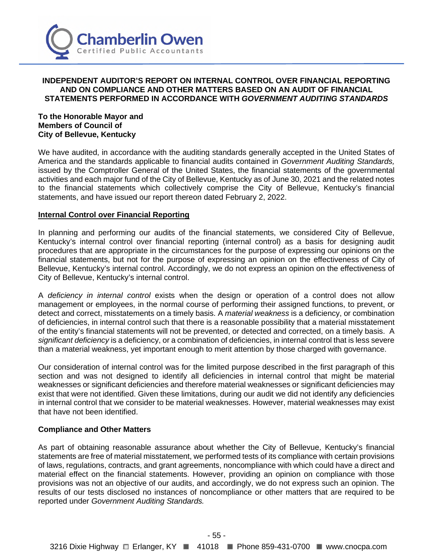

#### **INDEPENDENT AUDITOR'S REPORT ON INTERNAL CONTROL OVER FINANCIAL REPORTING AND ON COMPLIANCE AND OTHER MATTERS BASED ON AN AUDIT OF FINANCIAL STATEMENTS PERFORMED IN ACCORDANCE WITH** *GOVERNMENT AUDITING STANDARDS*

#### **To the Honorable Mayor and Members of Council of City of Bellevue, Kentucky**

We have audited, in accordance with the auditing standards generally accepted in the United States of America and the standards applicable to financial audits contained in *Government Auditing Standards,* issued by the Comptroller General of the United States, the financial statements of the governmental activities and each major fund of the City of Bellevue, Kentucky as of June 30, 2021 and the related notes to the financial statements which collectively comprise the City of Bellevue, Kentucky's financial statements, and have issued our report thereon dated February 2, 2022.

#### **Internal Control over Financial Reporting**

In planning and performing our audits of the financial statements, we considered City of Bellevue, Kentucky's internal control over financial reporting (internal control) as a basis for designing audit procedures that are appropriate in the circumstances for the purpose of expressing our opinions on the financial statements, but not for the purpose of expressing an opinion on the effectiveness of City of Bellevue, Kentucky's internal control. Accordingly, we do not express an opinion on the effectiveness of City of Bellevue, Kentucky's internal control.

A *deficiency in internal control* exists when the design or operation of a control does not allow management or employees, in the normal course of performing their assigned functions, to prevent, or detect and correct, misstatements on a timely basis. A *material weakness* is a deficiency, or combination of deficiencies, in internal control such that there is a reasonable possibility that a material misstatement of the entity's financial statements will not be prevented, or detected and corrected, on a timely basis. A *significant deficiency* is a deficiency, or a combination of deficiencies, in internal control that is less severe than a material weakness, yet important enough to merit attention by those charged with governance.

Our consideration of internal control was for the limited purpose described in the first paragraph of this section and was not designed to identify all deficiencies in internal control that might be material weaknesses or significant deficiencies and therefore material weaknesses or significant deficiencies may exist that were not identified. Given these limitations, during our audit we did not identify any deficiencies in internal control that we consider to be material weaknesses. However, material weaknesses may exist that have not been identified.

### **Compliance and Other Matters**

As part of obtaining reasonable assurance about whether the City of Bellevue, Kentucky's financial statements are free of material misstatement, we performed tests of its compliance with certain provisions of laws, regulations, contracts, and grant agreements, noncompliance with which could have a direct and material effect on the financial statements. However, providing an opinion on compliance with those provisions was not an objective of our audits, and accordingly, we do not express such an opinion. The results of our tests disclosed no instances of noncompliance or other matters that are required to be reported under *Government Auditing Standards.*